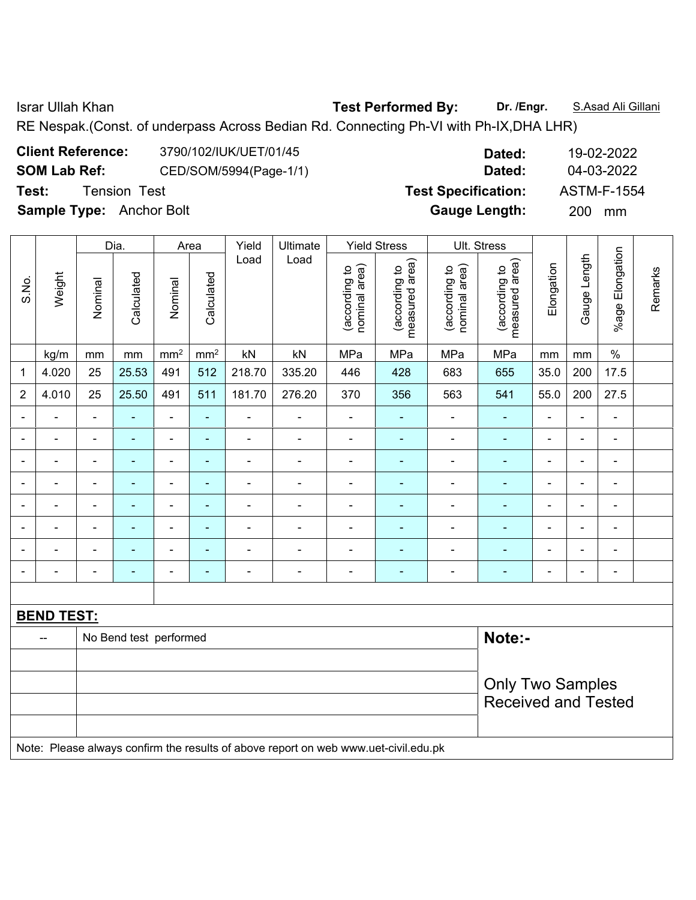Israr Ullah Khan **Test Performed By: Dr. /Engr.** S.Asad Ali Gillani

RE Nespak.(Const. of underpass Across Bedian Rd. Connecting Ph-VI with Ph-IX,DHA LHR)

|                     | <b>Client Reference:</b> | 3790/102/IUK/UET/01/45 |    |
|---------------------|--------------------------|------------------------|----|
| <b>SOM Lab Ref:</b> |                          | CED/SOM/5994(Page-1/1) |    |
| Test:               | Tension Test             |                        | Т٤ |
|                     | Comple Type: Apobor Dolt |                        |    |

**Client Reference:** 3790/102/IUK/UET/01/45 **Dated:** 19-02-2022 **SOM Lab Ref:** CED/SOM/5994(Page-1/1) **Dated:** 04-03-2022 **Pest Specification:** ASTM-F-1554 **Sample Type:** Anchor Bolt **Gauge Length:** 200 mm

|                |                   |                                                       | Dia.                   |                          | Area            | Yield                    | Ultimate                                                                            |                                | <b>Yield Stress</b>             |                                | Ult. Stress                     |                |                |                          |         |  |
|----------------|-------------------|-------------------------------------------------------|------------------------|--------------------------|-----------------|--------------------------|-------------------------------------------------------------------------------------|--------------------------------|---------------------------------|--------------------------------|---------------------------------|----------------|----------------|--------------------------|---------|--|
| S.No.          | Weight            | Nominal                                               | Calculated             | Nominal                  | Calculated      | Load                     | Load                                                                                | (according to<br>nominal area) | measured area)<br>(according to | (according to<br>nominal area) | measured area)<br>(according to | Elongation     | Gauge Length   | %age Elongation          | Remarks |  |
|                | kg/m              | mm                                                    | mm                     | mm <sup>2</sup>          | mm <sup>2</sup> | kN                       | kN                                                                                  | MPa                            | MPa                             | MPa                            | MPa                             | mm             | mm             | $\frac{0}{0}$            |         |  |
| 1              | 4.020             | 25                                                    | 25.53                  | 491                      | 512             | 218.70                   | 335.20                                                                              | 446                            | 428                             | 683                            | 655                             | 35.0           | 200            | 17.5                     |         |  |
| $\overline{2}$ | 4.010             | 25                                                    | 25.50                  | 491                      | 511             | 181.70                   | 276.20                                                                              | 370                            | 356                             | 563                            | 541                             | 55.0           | 200            | 27.5                     |         |  |
|                | ÷                 | $\blacksquare$                                        | ÷                      | $\frac{1}{2}$            | ÷               | ÷                        | $\blacksquare$                                                                      | $\blacksquare$                 | ٠                               | $\blacksquare$                 | ÷,                              | $\blacksquare$ | $\blacksquare$ | $\blacksquare$           |         |  |
| $\blacksquare$ | ÷                 | $\blacksquare$                                        | $\blacksquare$         | $\overline{\phantom{a}}$ | ÷               | ÷                        | $\overline{\phantom{a}}$                                                            | $\blacksquare$                 | $\blacksquare$                  | $\qquad \qquad \blacksquare$   | $\frac{1}{2}$                   | $\blacksquare$ | $\blacksquare$ | $\overline{\phantom{a}}$ |         |  |
|                | ä,                | $\blacksquare$                                        | $\blacksquare$         | $\blacksquare$           | $\blacksquare$  | ÷                        | ÷                                                                                   | $\blacksquare$                 | $\blacksquare$                  | $\blacksquare$                 | $\blacksquare$                  | $\blacksquare$ | $\blacksquare$ | $\overline{\phantom{a}}$ |         |  |
|                | -                 |                                                       | $\blacksquare$         | $\blacksquare$           | $\blacksquare$  | ÷                        | ÷                                                                                   | $\blacksquare$                 | $\blacksquare$                  | $\qquad \qquad \blacksquare$   | ÷,                              | $\blacksquare$ | $\blacksquare$ | $\blacksquare$           |         |  |
|                |                   |                                                       | ÷                      | $\blacksquare$           | $\blacksquare$  |                          |                                                                                     | $\blacksquare$                 | $\blacksquare$                  | ÷,                             | $\blacksquare$                  | $\blacksquare$ |                | $\blacksquare$           |         |  |
|                | L.                | $\blacksquare$                                        | $\overline{a}$         | $\blacksquare$           | $\blacksquare$  | ä,                       |                                                                                     | $\blacksquare$                 | ۳                               | ä,                             | $\blacksquare$                  | $\blacksquare$ | $\blacksquare$ | $\blacksquare$           |         |  |
| $\blacksquare$ | ÷                 | $\blacksquare$                                        | ÷                      | $\overline{\phantom{a}}$ | $\blacksquare$  | $\blacksquare$           | $\blacksquare$                                                                      | $\blacksquare$                 | $\blacksquare$                  |                                | $\blacksquare$                  | $\blacksquare$ | $\blacksquare$ | $\overline{\phantom{a}}$ |         |  |
|                |                   | $\blacksquare$                                        | $\blacksquare$         | $\overline{\phantom{a}}$ | $\blacksquare$  | $\overline{\phantom{0}}$ | $\overline{a}$                                                                      | $\blacksquare$                 | ٠                               | $\blacksquare$                 | ۰                               | $\blacksquare$ | $\blacksquare$ | $\blacksquare$           |         |  |
|                |                   |                                                       |                        |                          |                 |                          |                                                                                     |                                |                                 |                                |                                 |                |                |                          |         |  |
|                | <b>BEND TEST:</b> |                                                       |                        |                          |                 |                          |                                                                                     |                                |                                 |                                |                                 |                |                |                          |         |  |
|                | --                |                                                       | No Bend test performed |                          |                 |                          |                                                                                     |                                |                                 |                                | Note:-                          |                |                |                          |         |  |
|                |                   |                                                       |                        |                          |                 |                          |                                                                                     |                                |                                 |                                |                                 |                |                |                          |         |  |
|                |                   | <b>Only Two Samples</b><br><b>Received and Tested</b> |                        |                          |                 |                          |                                                                                     |                                |                                 |                                |                                 |                |                |                          |         |  |
|                |                   |                                                       |                        |                          |                 |                          | Note: Please always confirm the results of above report on web www.uet-civil.edu.pk |                                |                                 |                                |                                 |                |                |                          |         |  |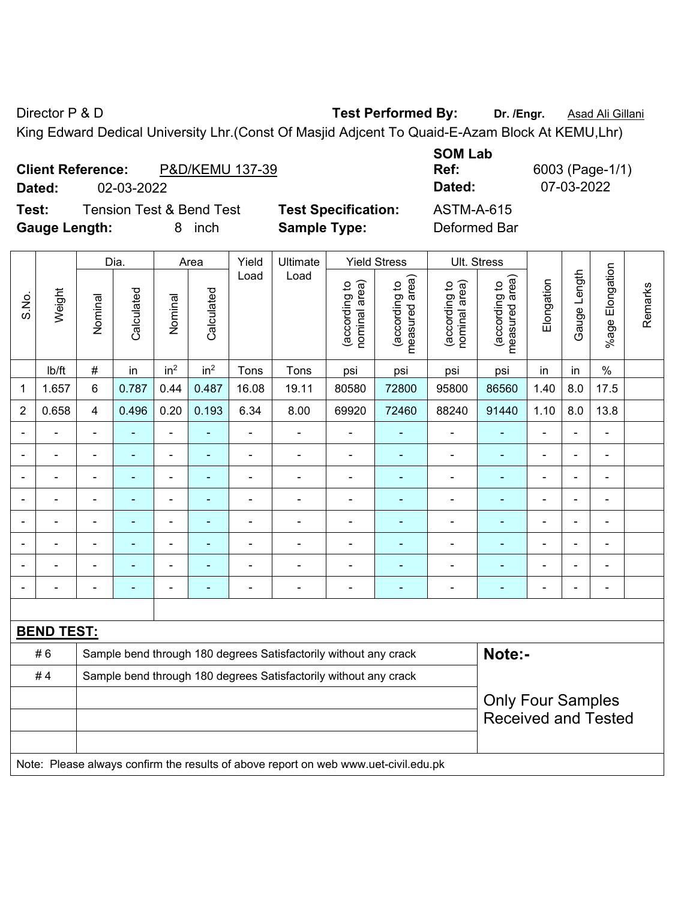Director P & D **Test Performed By: Dr. /Engr.** Asad Ali Gillani

King Edward Dedical University Lhr.(Const Of Masjid Adjcent To Quaid-E-Azam Block At KEMU,Lhr)

| <b>Client Reference:</b> |            | P&D/KEMU 137-39 |
|--------------------------|------------|-----------------|
| Dated:                   | 02-03-2022 |                 |

**Test:** Tension Test & Bend Test **Test Specification:** ASTM-A-615 **Gauge Length:** 8 inch **Sample Type:** Deformed Bar

**SOM Lab Ref:** 6003 (Page-1/1) **Dated:** 02-03-2022 **Dated:** 07-03-2022

|                              |                   |                            | Dia.                     |                 | Area                     | Yield          | Ultimate                                                                            |                                | <b>Yield Stress</b>             | Ult. Stress                    |                                 |                |                          |                       |         |
|------------------------------|-------------------|----------------------------|--------------------------|-----------------|--------------------------|----------------|-------------------------------------------------------------------------------------|--------------------------------|---------------------------------|--------------------------------|---------------------------------|----------------|--------------------------|-----------------------|---------|
| S.No.                        | Weight            | Nominal                    | Calculated               | Nominal         | Calculated               | Load           | Load                                                                                | nominal area)<br>(according to | (according to<br>measured area) | nominal area)<br>(according to | (according to<br>measured area) | Elongation     | Gauge Length             | Elongation<br>$%$ age | Remarks |
|                              | Ib/ft             | $\#$                       | in                       | in <sup>2</sup> | in <sup>2</sup>          | Tons           | Tons                                                                                | psi                            | psi                             | psi                            | psi                             | in             | in                       | $\%$                  |         |
| $\mathbf 1$                  | 1.657             | $6\phantom{1}$             | 0.787                    | 0.44            | 0.487                    | 16.08          | 19.11                                                                               | 80580                          | 72800                           | 95800                          | 86560                           | 1.40           | 8.0                      | 17.5                  |         |
| $\overline{2}$               | 0.658             | $\overline{4}$             | 0.496                    | 0.20            | 0.193                    | 6.34           | 8.00                                                                                | 69920                          | 72460                           | 88240                          | 91440                           | 1.10           | 8.0                      | 13.8                  |         |
| $\blacksquare$               | $\blacksquare$    | $\blacksquare$             | ä,                       | $\blacksquare$  | $\blacksquare$           | $\blacksquare$ | $\blacksquare$                                                                      | $\blacksquare$                 | $\blacksquare$                  | $\qquad \qquad \blacksquare$   | $\blacksquare$                  | $\blacksquare$ | ä,                       | $\blacksquare$        |         |
| $\blacksquare$               | ÷                 | $\blacksquare$             | $\blacksquare$           | $\blacksquare$  | $\blacksquare$           | ÷.             | ÷,                                                                                  | ä,                             | ۰                               | $\overline{a}$                 | $\blacksquare$                  | L,             |                          | $\blacksquare$        |         |
| $\blacksquare$               |                   | $\blacksquare$             | ä,                       | $\blacksquare$  | $\blacksquare$           | ÷.             | ä,                                                                                  | $\blacksquare$                 | $\blacksquare$                  | $\blacksquare$                 | $\blacksquare$                  | ä,             | $\blacksquare$           | $\blacksquare$        |         |
|                              |                   | $\blacksquare$             | ä,                       | $\blacksquare$  | $\blacksquare$           | L,             | ä,                                                                                  | L,                             | ۰                               | $\blacksquare$                 | ä,                              | $\overline{a}$ |                          | ä,                    |         |
|                              |                   | $\blacksquare$             |                          | ä,              |                          | -              | ÷                                                                                   | ä,                             | ۰                               | $\blacksquare$                 |                                 | ÷              |                          | $\blacksquare$        |         |
| $\blacksquare$               |                   | $\blacksquare$             | $\overline{\phantom{0}}$ | $\blacksquare$  | $\overline{\phantom{a}}$ | $\blacksquare$ | ÷                                                                                   | $\blacksquare$                 | ۰                               | $\overline{\phantom{0}}$       | $\blacksquare$                  | $\blacksquare$ | $\overline{\phantom{0}}$ | $\blacksquare$        |         |
| $\blacksquare$               |                   | $\blacksquare$             | ÷                        | $\blacksquare$  | $\blacksquare$           | Ē,             | ä,                                                                                  | $\blacksquare$                 | ۰                               | $\blacksquare$                 | $\blacksquare$                  | ä,             | $\blacksquare$           | $\blacksquare$        |         |
| $\qquad \qquad \blacksquare$ |                   | $\overline{\phantom{0}}$   | ä,                       | $\blacksquare$  | $\overline{\phantom{a}}$ | ÷              | ÷,                                                                                  | $\overline{a}$                 | ۰                               | ÷                              | $\blacksquare$                  | ä,             |                          | $\blacksquare$        |         |
|                              |                   |                            |                          |                 |                          |                |                                                                                     |                                |                                 |                                |                                 |                |                          |                       |         |
|                              | <b>BEND TEST:</b> |                            |                          |                 |                          |                |                                                                                     |                                |                                 |                                |                                 |                |                          |                       |         |
|                              | #6                |                            |                          |                 |                          |                | Sample bend through 180 degrees Satisfactorily without any crack                    |                                |                                 |                                | Note:-                          |                |                          |                       |         |
|                              | #4                |                            |                          |                 |                          |                | Sample bend through 180 degrees Satisfactorily without any crack                    |                                |                                 |                                |                                 |                |                          |                       |         |
|                              |                   | <b>Only Four Samples</b>   |                          |                 |                          |                |                                                                                     |                                |                                 |                                |                                 |                |                          |                       |         |
|                              |                   | <b>Received and Tested</b> |                          |                 |                          |                |                                                                                     |                                |                                 |                                |                                 |                |                          |                       |         |
|                              |                   |                            |                          |                 |                          |                |                                                                                     |                                |                                 |                                |                                 |                |                          |                       |         |
|                              |                   |                            |                          |                 |                          |                | Note: Please always confirm the results of above report on web www.uet-civil.edu.pk |                                |                                 |                                |                                 |                |                          |                       |         |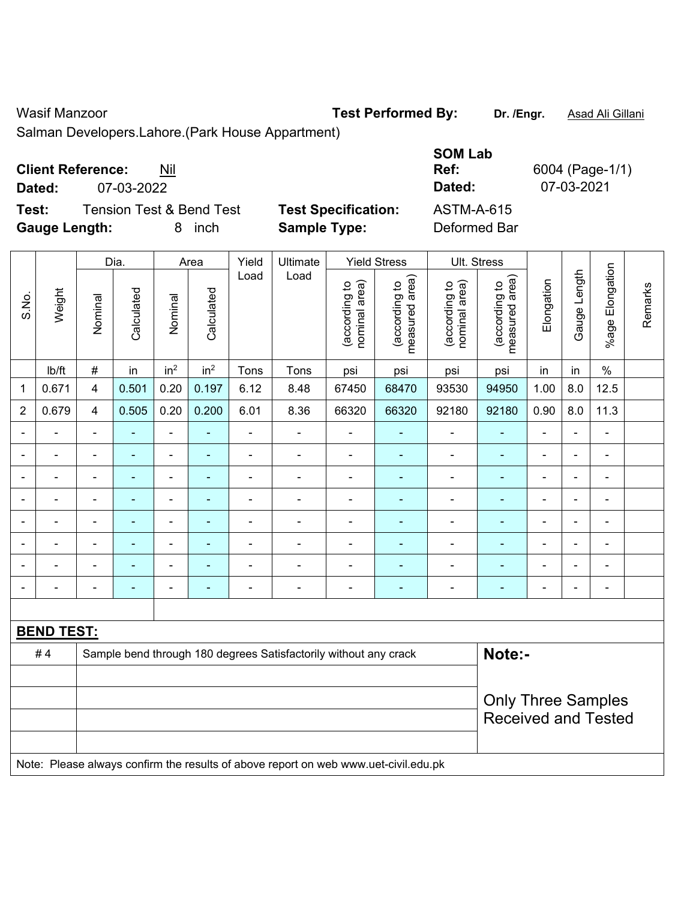### Wasif Manzoor **Test Performed By:** Dr. /Engr. **Asad Ali Gillani** Nuasif Manzoor

Salman Developers.Lahore.(Park House Appartment)

| <b>Client Reference:</b> | Nil |
|--------------------------|-----|
|--------------------------|-----|

**Dated:** 07-03-2022 **Dated:** 07-03-2021

**Test:** Tension Test & Bend Test **Test Specification: Gauge Length:** 8 inch **Sample Type:** Deformed Bar

| <b>SOM Lab</b><br>Ref:<br>Dated: | 6004 (Page-1/1)<br>07-03-2021 |
|----------------------------------|-------------------------------|
| ASTM-A-615                       |                               |
| Deformed Bar                     |                               |

|                |                   | Yield<br>Ultimate<br><b>Yield Stress</b><br>Ult. Stress<br>Dia.<br>Area |                |                 |                          |                              |                                                                                     |                                |                                 |                                |                                 |                          |                          |                              |         |
|----------------|-------------------|-------------------------------------------------------------------------|----------------|-----------------|--------------------------|------------------------------|-------------------------------------------------------------------------------------|--------------------------------|---------------------------------|--------------------------------|---------------------------------|--------------------------|--------------------------|------------------------------|---------|
| S.No.          | Weight            | Nominal                                                                 | Calculated     | Nominal         | Calculated               | Load                         | Load                                                                                | nominal area)<br>(according to | (according to<br>measured area) | (according to<br>nominal area) | (according to<br>measured area) | Elongation               | Gauge Length             | %age Elongation              | Remarks |
|                | lb/ft             | $\#$                                                                    | in             | in <sup>2</sup> | in <sup>2</sup>          | Tons                         | Tons                                                                                | psi                            | psi                             | psi                            | psi                             | in                       | in                       | $\%$                         |         |
| $\mathbf{1}$   | 0.671             | $\overline{\mathbf{4}}$                                                 | 0.501          | 0.20            | 0.197                    | 6.12                         | 8.48                                                                                | 67450                          | 68470                           | 93530                          | 94950                           | 1.00                     | 8.0                      | 12.5                         |         |
| $\overline{2}$ | 0.679             | $\overline{4}$                                                          | 0.505          | 0.20            | 0.200                    | 6.01                         | 8.36                                                                                | 66320                          | 66320                           | 92180                          | 92180                           | 0.90                     | 8.0                      | 11.3                         |         |
| $\blacksquare$ |                   |                                                                         |                | $\blacksquare$  |                          | $\blacksquare$               | ÷,                                                                                  | ä,                             | ÷.                              | $\blacksquare$                 | $\blacksquare$                  | $\overline{a}$           | $\overline{\phantom{0}}$ | $\blacksquare$               |         |
| $\blacksquare$ |                   | ä,                                                                      | $\blacksquare$ | $\blacksquare$  | $\blacksquare$           | $\blacksquare$               | $\blacksquare$                                                                      | ä,                             | $\blacksquare$                  | $\blacksquare$                 | $\blacksquare$                  | ä,                       | $\blacksquare$           | $\blacksquare$               |         |
| ۰              | $\overline{a}$    | $\blacksquare$                                                          | $\blacksquare$ | $\blacksquare$  | $\overline{\phantom{a}}$ | $\qquad \qquad \blacksquare$ | $\blacksquare$                                                                      | $\blacksquare$                 | $\blacksquare$                  | $\blacksquare$                 | $\blacksquare$                  | $\overline{\phantom{a}}$ | $\blacksquare$           | $\qquad \qquad \blacksquare$ |         |
| $\blacksquare$ |                   | L,                                                                      | $\blacksquare$ | $\blacksquare$  | $\overline{\phantom{a}}$ | ÷,                           | ÷,                                                                                  | Ē,                             | ä,                              | $\blacksquare$                 | $\blacksquare$                  | ä,                       | $\blacksquare$           | $\blacksquare$               |         |
|                |                   | L,                                                                      | ÷              | ÷,              |                          | ÷                            | $\blacksquare$                                                                      | L,                             | ä,                              | $\blacksquare$                 | ä,                              | L,                       | ä,                       | ä,                           |         |
| ۰              |                   |                                                                         | $\blacksquare$ | $\blacksquare$  |                          | $\overline{a}$               | $\blacksquare$                                                                      |                                |                                 |                                | $\blacksquare$                  |                          |                          |                              |         |
|                |                   |                                                                         |                | $\blacksquare$  |                          | $\blacksquare$               | $\blacksquare$                                                                      | $\blacksquare$                 |                                 | $\overline{\phantom{0}}$       | $\overline{\phantom{0}}$        |                          |                          | $\blacksquare$               |         |
| $\blacksquare$ |                   | ä,                                                                      | $\blacksquare$ | $\blacksquare$  | ٠                        | $\overline{a}$               | $\blacksquare$                                                                      | $\blacksquare$                 | ÷                               | $\blacksquare$                 | $\blacksquare$                  | Ē,                       | $\blacksquare$           | $\blacksquare$               |         |
|                |                   |                                                                         |                |                 |                          |                              |                                                                                     |                                |                                 |                                |                                 |                          |                          |                              |         |
|                | <b>BEND TEST:</b> |                                                                         |                |                 |                          |                              |                                                                                     |                                |                                 |                                |                                 |                          |                          |                              |         |
|                | #4                |                                                                         |                |                 |                          |                              | Sample bend through 180 degrees Satisfactorily without any crack                    |                                |                                 |                                | Note:-                          |                          |                          |                              |         |
|                |                   |                                                                         |                |                 |                          |                              |                                                                                     |                                |                                 |                                |                                 |                          |                          |                              |         |
|                |                   | <b>Only Three Samples</b>                                               |                |                 |                          |                              |                                                                                     |                                |                                 |                                |                                 |                          |                          |                              |         |
|                |                   | <b>Received and Tested</b>                                              |                |                 |                          |                              |                                                                                     |                                |                                 |                                |                                 |                          |                          |                              |         |
|                |                   |                                                                         |                |                 |                          |                              |                                                                                     |                                |                                 |                                |                                 |                          |                          |                              |         |
|                |                   |                                                                         |                |                 |                          |                              | Note: Please always confirm the results of above report on web www.uet-civil.edu.pk |                                |                                 |                                |                                 |                          |                          |                              |         |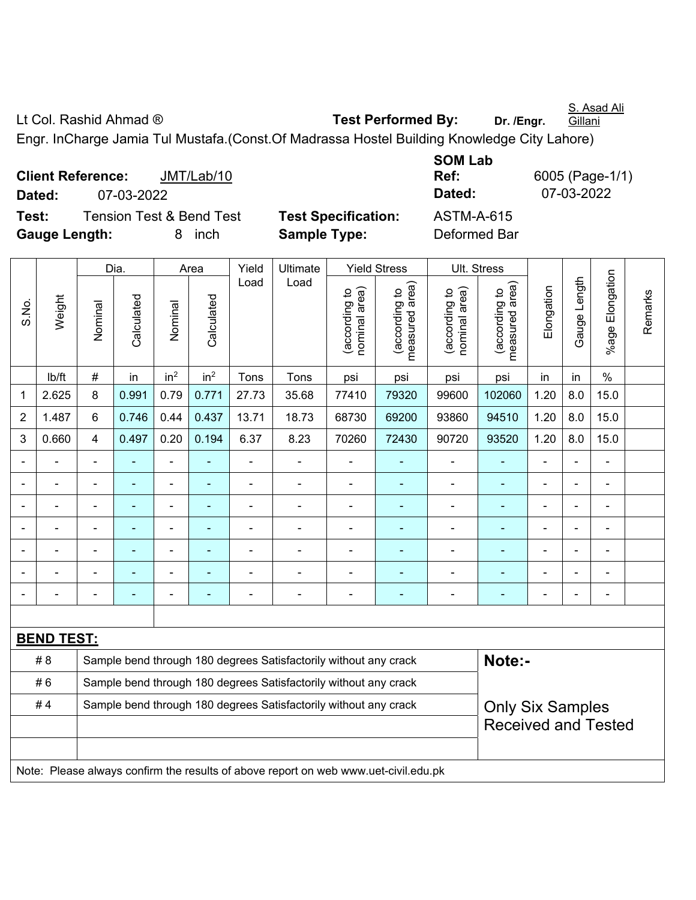S. Asad Ali **Gillani** 

Lt Col. Rashid Ahmad ® **Test Performed By:** Dr. /Engr.

Engr. InCharge Jamia Tul Mustafa.(Const.Of Madrassa Hostel Building Knowledge City Lahore)

**Client Reference:** JMT/Lab/10 **Dated:** 07-03-2022 **Dated:** 07-03-2022 **Test:** Tension Test & Bend Test **Test Specification:** ASTM-A-615 **Gauge Length:** 8 inch **Sample Type:** Deformed Bar

**SOM Lab Ref:** 6005 (Page-1/1)

|                |                          |                                                                                             | Yield<br>Dia.<br>Ultimate<br><b>Yield Stress</b><br>Ult. Stress<br>Area |                 |                 |                |                                                                                     |                                |                                             |                                |                                 |                |              |                           |         |
|----------------|--------------------------|---------------------------------------------------------------------------------------------|-------------------------------------------------------------------------|-----------------|-----------------|----------------|-------------------------------------------------------------------------------------|--------------------------------|---------------------------------------------|--------------------------------|---------------------------------|----------------|--------------|---------------------------|---------|
| S.No.          | Weight                   | Nominal                                                                                     | Calculated                                                              | Nominal         | Calculated      | Load           | Load                                                                                | nominal area)<br>(according to | (according to<br>measured area)<br>measured | nominal area)<br>(according to | (according to<br>measured area) | Elongation     | Gauge Length | Elongation<br>$%$ age $ $ | Remarks |
|                | lb/ft                    | $\#$                                                                                        | in                                                                      | in <sup>2</sup> | in <sup>2</sup> | Tons           | Tons                                                                                | psi                            | psi                                         | psi                            | psi                             | in             | in           | $\%$                      |         |
| 1              | 2.625                    | 8                                                                                           | 0.991                                                                   | 0.79            | 0.771           | 27.73          | 35.68                                                                               | 77410                          | 79320                                       | 99600                          | 102060                          | 1.20           | 8.0          | 15.0                      |         |
| $\overline{2}$ | 1.487                    | 6                                                                                           | 0.746                                                                   | 0.44            | 0.437           | 13.71          | 18.73                                                                               | 68730                          | 69200                                       | 93860                          | 94510                           | 1.20           | 8.0          | 15.0                      |         |
| 3              | 0.660                    | 4                                                                                           | 0.497                                                                   | 0.20            | 0.194           | 6.37           | 8.23                                                                                | 70260                          | 72430                                       | 90720                          | 93520                           | 1.20           | 8.0          | 15.0                      |         |
|                | ÷                        | $\blacksquare$                                                                              | ÷                                                                       | ÷,              |                 | ÷,             | ä,                                                                                  | $\blacksquare$                 | $\blacksquare$                              | $\blacksquare$                 | $\blacksquare$                  | $\blacksquare$ |              | $\blacksquare$            |         |
|                | $\overline{\phantom{a}}$ | $\blacksquare$                                                                              | ٠                                                                       | ÷,              |                 | ä,             | $\blacksquare$                                                                      | $\blacksquare$                 | ٠                                           | $\blacksquare$                 | $\blacksquare$                  | ä,             | ÷,           | $\blacksquare$            |         |
|                | ÷                        |                                                                                             | $\blacksquare$                                                          | $\blacksquare$  |                 | $\blacksquare$ | ä,                                                                                  | ÷,                             | ٠                                           | $\blacksquare$                 | L,                              | $\overline{a}$ |              | ä,                        |         |
|                |                          |                                                                                             | $\overline{\phantom{0}}$                                                | $\blacksquare$  |                 |                | $\blacksquare$                                                                      | $\blacksquare$                 | $\blacksquare$                              | $\blacksquare$                 | $\blacksquare$                  | $\blacksquare$ |              | $\blacksquare$            |         |
|                |                          |                                                                                             |                                                                         | ÷               |                 |                |                                                                                     | ä,                             |                                             |                                |                                 |                |              |                           |         |
|                |                          |                                                                                             | ۰                                                                       | ۰               |                 |                | $\overline{\phantom{0}}$                                                            | -                              | $\overline{\phantom{0}}$                    | $\blacksquare$                 | ۰                               | $\blacksquare$ |              | $\blacksquare$            |         |
| $\blacksquare$ |                          |                                                                                             | ۰                                                                       | ä,              |                 |                | ä,                                                                                  | ä,                             | $\blacksquare$                              | $\blacksquare$                 | ä,                              | ä,             |              | $\blacksquare$            |         |
|                |                          |                                                                                             |                                                                         |                 |                 |                |                                                                                     |                                |                                             |                                |                                 |                |              |                           |         |
|                | <b>BEND TEST:</b>        |                                                                                             |                                                                         |                 |                 |                |                                                                                     |                                |                                             |                                |                                 |                |              |                           |         |
|                | # 8                      |                                                                                             |                                                                         |                 |                 |                | Sample bend through 180 degrees Satisfactorily without any crack                    |                                |                                             |                                | Note:-                          |                |              |                           |         |
|                | #6                       | Sample bend through 180 degrees Satisfactorily without any crack                            |                                                                         |                 |                 |                |                                                                                     |                                |                                             |                                |                                 |                |              |                           |         |
|                | #4                       | Sample bend through 180 degrees Satisfactorily without any crack<br><b>Only Six Samples</b> |                                                                         |                 |                 |                |                                                                                     |                                |                                             |                                |                                 |                |              |                           |         |
|                |                          | <b>Received and Tested</b>                                                                  |                                                                         |                 |                 |                |                                                                                     |                                |                                             |                                |                                 |                |              |                           |         |
|                |                          |                                                                                             |                                                                         |                 |                 |                | Note: Please always confirm the results of above report on web www.uet-civil.edu.pk |                                |                                             |                                |                                 |                |              |                           |         |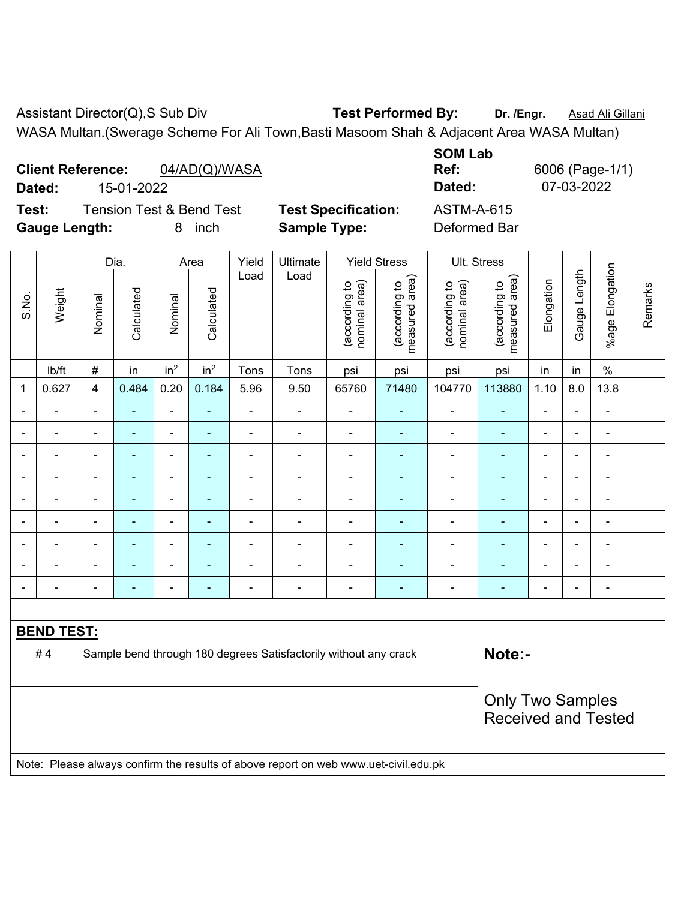Assistant Director(Q),S Sub Div **Test Performed By:** Dr. /Engr. **Asad Ali Gillani** WASA Multan.(Swerage Scheme For Ali Town,Basti Masoom Shah & Adjacent Area WASA Multan)

|        | <b>Client Reference:</b><br>04/AD(Q)/WASA |                            | Ref:       | 6006 (Page-1 |
|--------|-------------------------------------------|----------------------------|------------|--------------|
| Dated: | 15-01-2022                                |                            | Dated:     | 07-03-2022   |
| Test:  | <b>Tension Test &amp; Bend Test</b>       | <b>Test Specification:</b> | ASTM-A-615 |              |

**Test Specification:** ASTM-A-615 **Gauge Length:** 8 inch **Sample Type:** Deformed Bar

**SOM Lab Ref:** 6006 (Page-1/1)

|       |                   |                                                                            | Dia.           |                          | Area            | Yield          | Ultimate       |                                | <b>Yield Stress</b>             | Ult. Stress                    |                                 |                          |                |                 |         |
|-------|-------------------|----------------------------------------------------------------------------|----------------|--------------------------|-----------------|----------------|----------------|--------------------------------|---------------------------------|--------------------------------|---------------------------------|--------------------------|----------------|-----------------|---------|
| S.No. | Weight            | Nominal                                                                    | Calculated     | Nominal                  | Calculated      | Load           | Load           | nominal area)<br>(according to | measured area)<br>(according to | nominal area)<br>(according to | measured area)<br>(according to | Elongation               | Gauge Length   | %age Elongation | Remarks |
|       | lb/ft             | $\#$                                                                       | in             | in <sup>2</sup>          | in <sup>2</sup> | Tons           | Tons           | psi                            | psi                             | psi                            | psi                             | in                       | in             | $\%$            |         |
| 1     | 0.627             | 4                                                                          | 0.484          | 0.20                     | 0.184           | 5.96           | 9.50           | 65760                          | 71480                           | 104770                         | 113880                          | 1.10                     | 8.0            | 13.8            |         |
|       |                   | L,                                                                         | ٠              | ä,                       | ÷               | $\blacksquare$ | $\blacksquare$ | $\blacksquare$                 | $\blacksquare$                  | ÷,                             | ÷                               | $\blacksquare$           | $\blacksquare$ | $\blacksquare$  |         |
|       |                   | $\overline{a}$                                                             | $\overline{a}$ | $\blacksquare$           | ÷               |                |                |                                | $\blacksquare$                  | $\overline{a}$                 | $\blacksquare$                  | $\blacksquare$           |                | $\blacksquare$  |         |
|       |                   | $\blacksquare$                                                             | ۰              | ÷                        | ÷               | $\blacksquare$ | $\blacksquare$ | $\blacksquare$                 | ۰                               | ÷                              | ۰                               |                          | $\overline{a}$ | ÷               |         |
|       |                   | $\blacksquare$                                                             | $\blacksquare$ | $\blacksquare$           | $\blacksquare$  | $\blacksquare$ |                | $\blacksquare$                 | ٠                               | $\blacksquare$                 | ٠                               | $\blacksquare$           | $\blacksquare$ | $\blacksquare$  |         |
|       |                   | $\blacksquare$                                                             |                | $\overline{\phantom{0}}$ |                 |                |                |                                |                                 |                                | ۰                               |                          |                | ۰               |         |
|       |                   | $\blacksquare$                                                             | ÷,             | $\blacksquare$           | ÷               | ä,             | $\blacksquare$ | $\blacksquare$                 | ÷                               | Ē,                             | ÷                               |                          | $\blacksquare$ | $\blacksquare$  |         |
|       | $\blacksquare$    | $\blacksquare$                                                             | $\blacksquare$ | $\blacksquare$           | $\blacksquare$  | $\blacksquare$ | $\blacksquare$ | $\blacksquare$                 | ٠                               | $\blacksquare$                 | $\blacksquare$                  | $\blacksquare$           | $\blacksquare$ | $\blacksquare$  |         |
|       |                   | $\blacksquare$                                                             |                | ۰                        |                 |                |                |                                | ۰                               |                                |                                 |                          |                | -               |         |
|       |                   | ٠                                                                          | ۰              | $\overline{\phantom{0}}$ | ۰               | $\blacksquare$ | $\blacksquare$ | $\blacksquare$                 | ۰                               | Ē,                             | ۰                               | $\overline{\phantom{0}}$ | $\blacksquare$ | $\blacksquare$  |         |
|       |                   |                                                                            |                |                          |                 |                |                |                                |                                 |                                |                                 |                          |                |                 |         |
|       | <b>BEND TEST:</b> |                                                                            |                |                          |                 |                |                |                                |                                 |                                |                                 |                          |                |                 |         |
|       | #4                | Note:-<br>Sample bend through 180 degrees Satisfactorily without any crack |                |                          |                 |                |                |                                |                                 |                                |                                 |                          |                |                 |         |
|       |                   |                                                                            |                |                          |                 |                |                |                                |                                 |                                |                                 |                          |                |                 |         |
|       |                   |                                                                            |                |                          |                 |                |                |                                |                                 |                                | <b>Only Two Samples</b>         |                          |                |                 |         |
|       |                   |                                                                            |                |                          |                 |                |                |                                |                                 |                                | <b>Received and Tested</b>      |                          |                |                 |         |
|       |                   |                                                                            |                |                          |                 |                |                |                                |                                 |                                |                                 |                          |                |                 |         |

Note: Please always confirm the results of above report on web www.uet-civil.edu.pk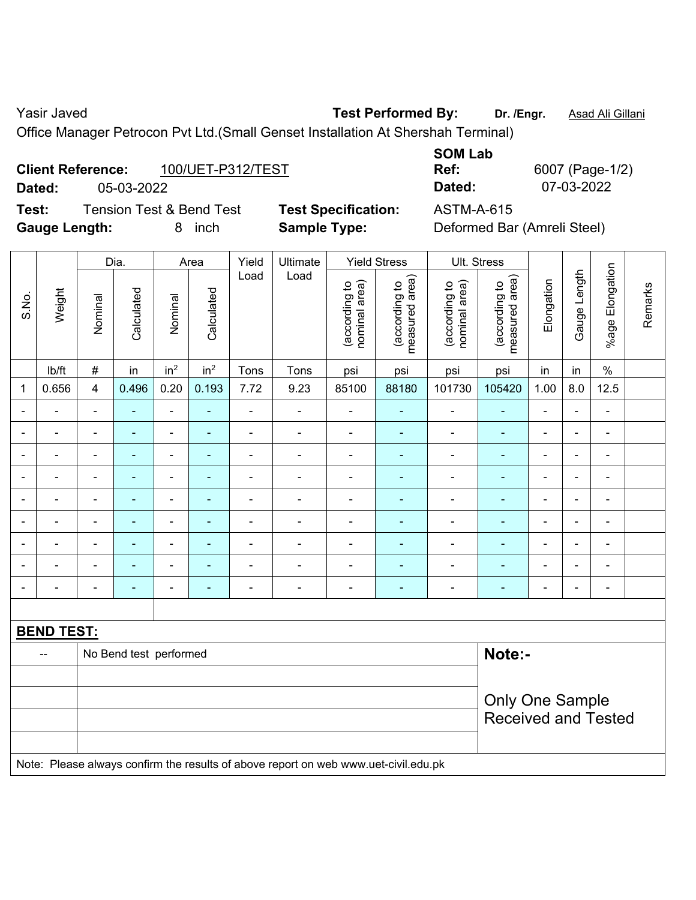Yasir Javed **Test Performed By:** Dr. /Engr. **Asad Ali Gillani** Casir Javed

Office Manager Petrocon Pvt Ltd.(Small Genset Installation At Shershah Terminal)

# **Client Reference:** 100/UET-P312/TEST

**Dated:** 05-03-2022 **Dated:** 07-03-2022

**Test:** Tension Test & Bend Test **Test Specification:** ASTM-A-615 **Gauge Length:** 8 inch **Sample Type:** Deformed Bar (Amreli Steel)

**SOM Lab** 

**Ref:** 6007 (Page-1/2)

┑

|                          |                                                                                     | Dia.<br>Yield<br>Ultimate<br><b>Yield Stress</b><br>Ult. Stress<br>Area |                          |                 |                 |                |                          |                                |                                 |                                |                                 |                |                |                          |         |
|--------------------------|-------------------------------------------------------------------------------------|-------------------------------------------------------------------------|--------------------------|-----------------|-----------------|----------------|--------------------------|--------------------------------|---------------------------------|--------------------------------|---------------------------------|----------------|----------------|--------------------------|---------|
| S.No.                    | Weight                                                                              | Nominal                                                                 | Calculated               | Nominal         | Calculated      | Load           | Load                     | nominal area)<br>(according to | (according to<br>measured area) | nominal area)<br>(according to | (according to<br>measured area) | Elongation     | Gauge Length   | Elongation<br>$%$ age I  | Remarks |
|                          | lb/ft                                                                               | $\#$                                                                    | in                       | in <sup>2</sup> | in <sup>2</sup> | Tons           | Tons                     | psi                            | psi                             | psi                            | psi                             | in             | in             | $\%$                     |         |
| $\mathbf 1$              | 0.656                                                                               | $\overline{4}$                                                          | 0.496                    | 0.20            | 0.193           | 7.72           | 9.23                     | 85100                          | 88180                           | 101730                         | 105420                          | 1.00           | 8.0            | 12.5                     |         |
|                          |                                                                                     | $\blacksquare$                                                          | $\blacksquare$           | $\blacksquare$  | $\overline{a}$  | -              |                          | $\blacksquare$                 | $\blacksquare$                  | $\overline{\phantom{a}}$       | $\blacksquare$                  | $\blacksquare$ | $\blacksquare$ | $\blacksquare$           |         |
| $\blacksquare$           |                                                                                     |                                                                         | $\blacksquare$           |                 |                 | $\blacksquare$ |                          | $\blacksquare$                 |                                 | $\blacksquare$                 |                                 | Ē,             | $\blacksquare$ | $\blacksquare$           |         |
| $\blacksquare$           |                                                                                     | $\blacksquare$                                                          | $\overline{\phantom{0}}$ | ۰               |                 | $\overline{a}$ |                          | ٠                              | $\blacksquare$                  | $\qquad \qquad \blacksquare$   | $\overline{\phantom{0}}$        | $\blacksquare$ | $\blacksquare$ | $\overline{\phantom{0}}$ |         |
| $\overline{\phantom{a}}$ | ٠                                                                                   | $\blacksquare$                                                          | $\blacksquare$           | $\blacksquare$  |                 | $\blacksquare$ | ٠                        | $\blacksquare$                 | $\blacksquare$                  | $\blacksquare$                 |                                 | Ē,             | $\blacksquare$ | $\blacksquare$           |         |
| $\overline{\phantom{a}}$ |                                                                                     | $\blacksquare$                                                          | ۰                        | $\blacksquare$  | $\blacksquare$  | $\blacksquare$ | $\overline{\phantom{0}}$ | $\qquad \qquad \blacksquare$   | $\blacksquare$                  | $\qquad \qquad \blacksquare$   | $\blacksquare$                  | $\blacksquare$ | ÷,             | $\overline{\phantom{a}}$ |         |
| $\blacksquare$           | ÷                                                                                   | $\blacksquare$                                                          | $\blacksquare$           | $\blacksquare$  | $\blacksquare$  | $\blacksquare$ | $\overline{\phantom{a}}$ | $\blacksquare$                 | $\blacksquare$                  | $\blacksquare$                 | $\blacksquare$                  | $\blacksquare$ | $\blacksquare$ | ÷                        |         |
| $\blacksquare$           |                                                                                     |                                                                         | $\blacksquare$           | ۰               | $\blacksquare$  |                | ÷                        | $\blacksquare$                 | $\overline{\phantom{0}}$        | $\blacksquare$                 | $\overline{\phantom{0}}$        | $\blacksquare$ | ÷,             | ä,                       |         |
|                          |                                                                                     |                                                                         | ۰                        |                 |                 | $\blacksquare$ | Ē,                       | $\blacksquare$                 |                                 | $\blacksquare$                 |                                 |                | ä,             | ä,                       |         |
|                          |                                                                                     |                                                                         | $\blacksquare$           |                 | ۰               |                | ÷                        | $\blacksquare$                 | $\blacksquare$                  | $\blacksquare$                 | $\blacksquare$                  |                | $\blacksquare$ | $\blacksquare$           |         |
|                          |                                                                                     |                                                                         |                          |                 |                 |                |                          |                                |                                 |                                |                                 |                |                |                          |         |
|                          | <b>BEND TEST:</b>                                                                   |                                                                         |                          |                 |                 |                |                          |                                |                                 |                                |                                 |                |                |                          |         |
|                          | $\overline{\phantom{a}}$                                                            |                                                                         | No Bend test performed   |                 |                 |                |                          |                                |                                 |                                | Note:-                          |                |                |                          |         |
|                          |                                                                                     |                                                                         |                          |                 |                 |                |                          |                                |                                 |                                |                                 |                |                |                          |         |
|                          |                                                                                     |                                                                         |                          |                 |                 |                |                          |                                |                                 |                                | <b>Only One Sample</b>          |                |                |                          |         |
|                          |                                                                                     | <b>Received and Tested</b>                                              |                          |                 |                 |                |                          |                                |                                 |                                |                                 |                |                |                          |         |
|                          | Note: Please always confirm the results of above report on web www.uet-civil.edu.pk |                                                                         |                          |                 |                 |                |                          |                                |                                 |                                |                                 |                |                |                          |         |
|                          |                                                                                     |                                                                         |                          |                 |                 |                |                          |                                |                                 |                                |                                 |                |                |                          |         |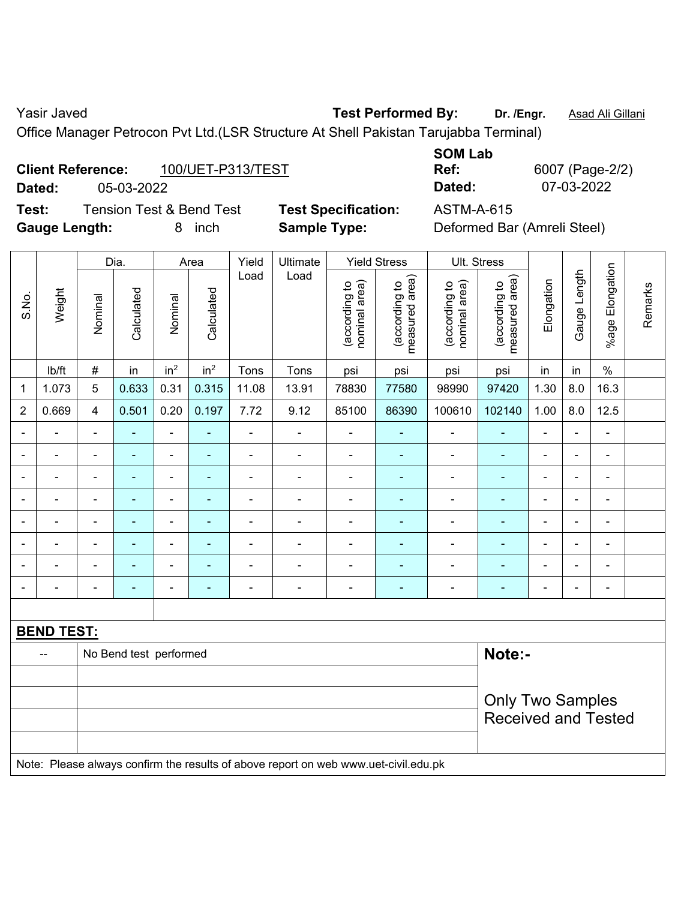Yasir Javed **Test Performed By:** Dr. /Engr. **Asad Ali Gillani** Casir Javed

Office Manager Petrocon Pvt Ltd.(LSR Structure At Shell Pakistan Tarujabba Terminal)

### **Client Reference:** 100/UET-P313/TEST

**Dated:** 05-03-2022 **Dated:** 07-03-2022

**Test:** Tension Test & Bend Test **Test Specification:** ASTM-A-615 **Gauge Length:** 8 inch **Sample Type:** Deformed Bar (Amreli Steel)

**SOM Lab** 

**Ref:** 6007 (Page-2/2)

|                          |                          |                         | Dia.                   |                              | Area            | Yield          | Ultimate                 |                                | <b>Yield Stress</b>             |                                | Ult. Stress                     |                |                          |                 |         |
|--------------------------|--------------------------|-------------------------|------------------------|------------------------------|-----------------|----------------|--------------------------|--------------------------------|---------------------------------|--------------------------------|---------------------------------|----------------|--------------------------|-----------------|---------|
| S.No.                    | Weight                   | Nominal                 | Calculated             | Nominal                      | Calculated      | Load           | Load                     | nominal area)<br>(according to | (according to<br>measured area) | (according to<br>nominal area) | (according to<br>measured area) | Elongation     | Gauge Length             | %age Elongation | Remarks |
|                          | lb/ft                    | $\#$                    | in                     | in <sup>2</sup>              | in <sup>2</sup> | Tons           | Tons                     | psi                            | psi                             | psi                            | psi                             | in             | in                       | $\%$            |         |
| 1                        | 1.073                    | 5                       | 0.633                  | 0.31                         | 0.315           | 11.08          | 13.91                    | 78830                          | 77580                           | 98990                          | 97420                           | 1.30           | 8.0                      | 16.3            |         |
| $\overline{2}$           | 0.669                    | $\overline{\mathbf{4}}$ | 0.501                  | 0.20                         | 0.197           | 7.72           | 9.12                     | 85100                          | 86390                           | 100610                         | 102140                          | 1.00           | 8.0                      | 12.5            |         |
|                          |                          | $\blacksquare$          | ÷,                     | ÷,                           | ٠               | $\blacksquare$ | $\blacksquare$           | $\overline{\phantom{a}}$       | ٠                               | $\blacksquare$                 | ٠                               | $\overline{a}$ |                          | $\blacksquare$  |         |
| $\overline{\phantom{0}}$ | $\overline{\phantom{a}}$ | $\blacksquare$          | ۰                      | $\overline{\phantom{a}}$     | $\blacksquare$  | $\blacksquare$ | $\overline{\phantom{a}}$ | $\blacksquare$                 | $\blacksquare$                  | $\blacksquare$                 | $\blacksquare$                  | $\blacksquare$ | $\blacksquare$           | $\blacksquare$  |         |
|                          |                          | $\blacksquare$          | $\blacksquare$         | $\overline{\phantom{a}}$     |                 | $\blacksquare$ |                          | ä,                             |                                 |                                | $\blacksquare$                  |                |                          | $\blacksquare$  |         |
|                          |                          |                         |                        | -                            |                 |                | $\blacksquare$           | -                              | ۰                               | $\blacksquare$                 | $\blacksquare$                  |                |                          | $\blacksquare$  |         |
| $\blacksquare$           | $\blacksquare$           | $\blacksquare$          | ۰                      | $\overline{\phantom{a}}$     | ٠               | $\blacksquare$ | $\blacksquare$           | $\blacksquare$                 | $\blacksquare$                  | $\overline{a}$                 | ٠                               | Ē,             | $\blacksquare$           | $\blacksquare$  |         |
|                          | $\blacksquare$           | $\blacksquare$          | ÷                      | $\qquad \qquad \blacksquare$ |                 | $\blacksquare$ | $\blacksquare$           | $\overline{\phantom{a}}$       | ۰                               | $\overline{a}$                 | $\blacksquare$                  | Ē,             | $\overline{\phantom{0}}$ | $\blacksquare$  |         |
|                          |                          |                         |                        | ä,                           |                 |                | Ē,                       | ä,                             |                                 |                                | $\blacksquare$                  |                |                          | $\blacksquare$  |         |
|                          | $\blacksquare$           | $\blacksquare$          | $\blacksquare$         | $\overline{\phantom{a}}$     | ۰               | $\blacksquare$ | $\blacksquare$           | $\blacksquare$                 | ۰                               | $\blacksquare$                 | ٠                               | $\blacksquare$ |                          | $\blacksquare$  |         |
|                          |                          |                         |                        |                              |                 |                |                          |                                |                                 |                                |                                 |                |                          |                 |         |
|                          | <b>BEND TEST:</b>        |                         |                        |                              |                 |                |                          |                                |                                 |                                |                                 |                |                          |                 |         |
|                          |                          |                         | No Bend test performed |                              |                 |                |                          |                                |                                 |                                | Note:-                          |                |                          |                 |         |
|                          |                          |                         |                        |                              |                 |                |                          |                                |                                 |                                |                                 |                |                          |                 |         |
|                          |                          |                         |                        |                              |                 |                |                          |                                |                                 |                                | <b>Only Two Samples</b>         |                |                          |                 |         |
|                          |                          |                         |                        |                              |                 |                |                          |                                |                                 |                                | <b>Received and Tested</b>      |                |                          |                 |         |
|                          |                          |                         |                        |                              |                 |                |                          |                                |                                 |                                |                                 |                |                          |                 |         |

Note: Please always confirm the results of above report on web www.uet-civil.edu.pk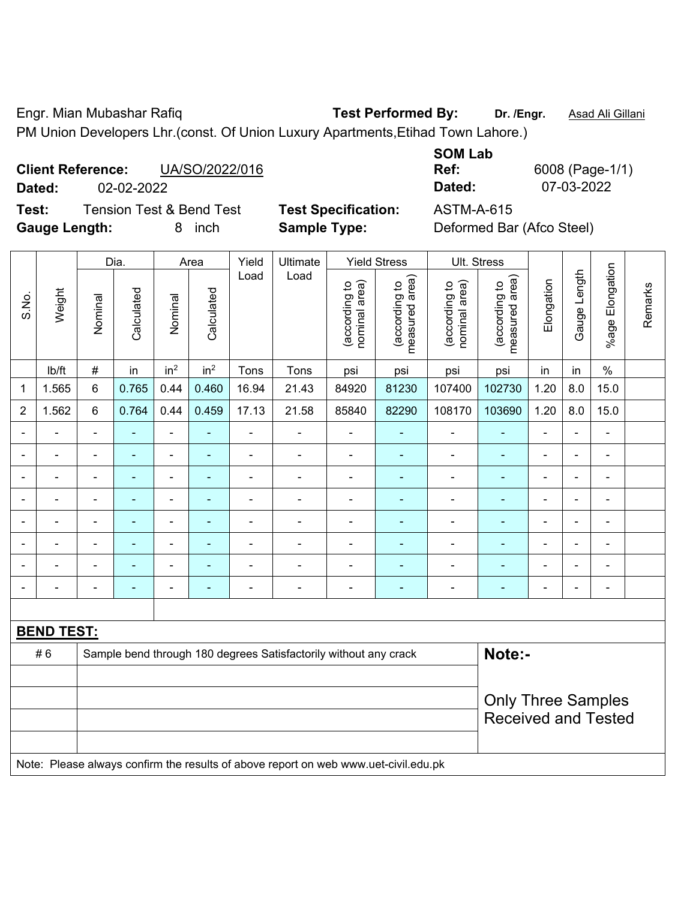Engr. Mian Mubashar Rafiq **Test Performed By: Dr. /Engr.** Asad Ali Gillani PM Union Developers Lhr.(const. Of Union Luxury Apartments,Etihad Town Lahore.)

# **Client Reference:** UA/SO/2022/016 **Dated:** 02-02-2022 **Dated:** 07-03-2022

**Test:** Tension Test & Bend Test **Test Specification:** ASTM-A-615 **Gauge Length:** 8 inch **Sample Type:** Deformed Bar (Afco Steel)

|        | <b>SOM Lab</b> |
|--------|----------------|
|        | Ref:           |
|        | Dated:         |
| -41--- | 8 A THA A      |

**Ref:** 6008 (Page-1/1)

|                |                   |                | Dia.                                                    |                 | Area            | Yield<br>Ultimate | <b>Yield Stress</b>                                                                 |                                |                                 | Ult. Stress                    |                                 |                |                          |                          |         |
|----------------|-------------------|----------------|---------------------------------------------------------|-----------------|-----------------|-------------------|-------------------------------------------------------------------------------------|--------------------------------|---------------------------------|--------------------------------|---------------------------------|----------------|--------------------------|--------------------------|---------|
| S.No.          | Weight            | Nominal        | Calculated                                              | Nominal         | Calculated      | Load              | Load                                                                                | nominal area)<br>(according to | (according to<br>measured area) | nominal area)<br>(according to | (according to<br>measured area) | Elongation     | Gauge Length             | Elongation<br>$%$ age F  | Remarks |
|                | lb/ft             | $\#$           | in                                                      | in <sup>2</sup> | in <sup>2</sup> | Tons              | Tons                                                                                | psi                            | psi                             | psi                            | psi                             | in             | in                       | $\%$                     |         |
| 1              | 1.565             | 6              | 0.765                                                   | 0.44            | 0.460           | 16.94             | 21.43                                                                               | 84920                          | 81230                           | 107400                         | 102730                          | 1.20           | 8.0                      | 15.0                     |         |
| $\overline{2}$ | 1.562             | 6              | 0.764                                                   | 0.44            | 0.459           | 17.13             | 21.58                                                                               | 85840                          | 82290                           | 108170                         | 103690                          | 1.20           | 8.0                      | 15.0                     |         |
|                |                   |                |                                                         |                 |                 |                   | Ē,                                                                                  | $\blacksquare$                 |                                 |                                | $\blacksquare$                  |                |                          | $\blacksquare$           |         |
|                | $\blacksquare$    | $\blacksquare$ | ۰                                                       | ÷               |                 | $\blacksquare$    | Ē,                                                                                  | $\overline{a}$                 |                                 | $\overline{a}$                 | ۰                               | $\blacksquare$ |                          | $\blacksquare$           |         |
| ٠              | $\overline{a}$    | $\blacksquare$ | ۰                                                       | ÷               |                 |                   | Ē,                                                                                  | $\blacksquare$                 | ÷                               | $\blacksquare$                 | $\blacksquare$                  |                | i.                       | $\blacksquare$           |         |
|                | -                 | $\blacksquare$ | $\overline{\phantom{0}}$                                | $\overline{a}$  |                 | $\blacksquare$    | $\overline{\phantom{0}}$                                                            | $\blacksquare$                 |                                 | $\overline{a}$                 | ٠                               | $\blacksquare$ | ٠                        | $\overline{\phantom{a}}$ |         |
|                | $\blacksquare$    | $\blacksquare$ | $\blacksquare$                                          | ÷,              | $\blacksquare$  | $\blacksquare$    | $\blacksquare$                                                                      | $\blacksquare$                 | ٠                               | ä,                             | $\blacksquare$                  | $\blacksquare$ | ÷                        | $\blacksquare$           |         |
|                |                   |                |                                                         | ÷               |                 |                   |                                                                                     | $\blacksquare$                 |                                 |                                | $\blacksquare$                  |                |                          | L,                       |         |
|                |                   |                |                                                         |                 |                 |                   |                                                                                     | $\blacksquare$                 |                                 |                                |                                 |                |                          |                          |         |
| $\blacksquare$ | $\blacksquare$    | $\blacksquare$ | ۰                                                       | $\overline{a}$  |                 | $\blacksquare$    | ٠                                                                                   | $\blacksquare$                 | Ē.                              | $\blacksquare$                 | $\overline{\phantom{0}}$        | $\blacksquare$ | $\overline{\phantom{0}}$ | $\blacksquare$           |         |
|                |                   |                |                                                         |                 |                 |                   |                                                                                     |                                |                                 |                                |                                 |                |                          |                          |         |
|                | <b>BEND TEST:</b> |                |                                                         |                 |                 |                   |                                                                                     |                                |                                 |                                |                                 |                |                          |                          |         |
|                | #6                |                |                                                         |                 |                 |                   | Sample bend through 180 degrees Satisfactorily without any crack                    |                                |                                 |                                | Note:-                          |                |                          |                          |         |
|                |                   |                |                                                         |                 |                 |                   |                                                                                     |                                |                                 |                                |                                 |                |                          |                          |         |
|                |                   |                | <b>Only Three Samples</b><br><b>Received and Tested</b> |                 |                 |                   |                                                                                     |                                |                                 |                                |                                 |                |                          |                          |         |
|                |                   |                |                                                         |                 |                 |                   | Note: Please always confirm the results of above report on web www.uet-civil.edu.pk |                                |                                 |                                |                                 |                |                          |                          |         |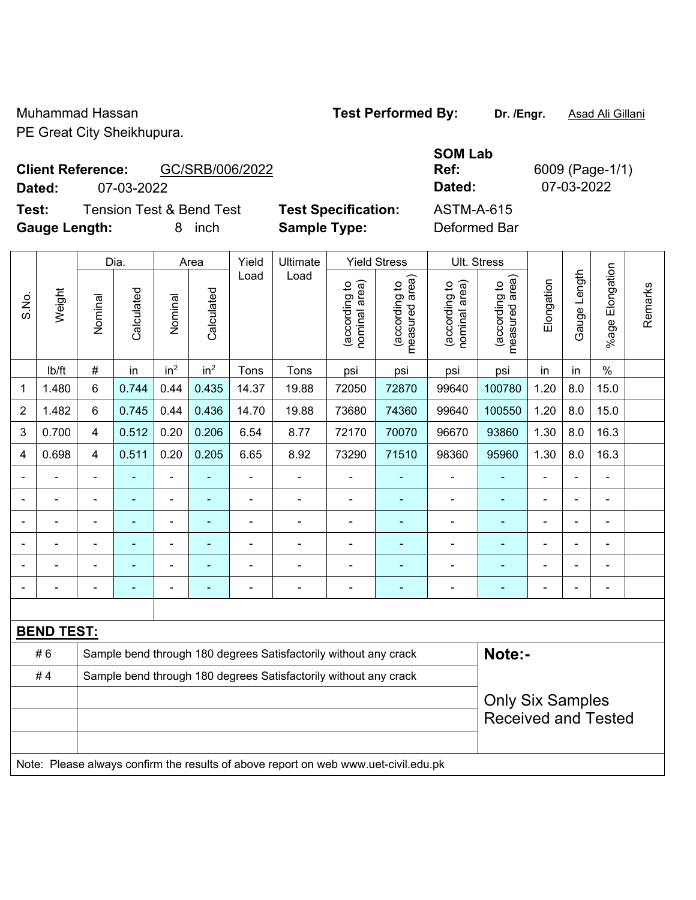Muhammad Hassan **Test Performed By:** Dr. /Engr. **Asad Ali Gillani**<br>
DE Great City Sheikhunum

PE Grea

# **Client Reference:**

**Dated:** 07-03-2022 **Dated:** 07-03-2022

**Test:** Tension Test & Bend Test **Test Specification:** ASTM-A-615 **Gauge Length:** 8 inch **Sample Type:** Deformed Bar

Dia. | Area | Yield | Ultimate | Yield Stress | Ult. Stress

| at City Sheikhupura. |                 |  |  |  |  |  |  |  |  |
|----------------------|-----------------|--|--|--|--|--|--|--|--|
| <b>Reference:</b>    | GC/SRB/006/2022 |  |  |  |  |  |  |  |  |

**SOM Lab Ref:** 6009 (Page-1/1)

 $\subset$ 

|                         |                                                                                     |                         | Dia.           |                 | Area            | Yield          | Ultimate                                                         |                                | Yield Stress                    |                                | UII. Stress                     |                |              |                          |         |
|-------------------------|-------------------------------------------------------------------------------------|-------------------------|----------------|-----------------|-----------------|----------------|------------------------------------------------------------------|--------------------------------|---------------------------------|--------------------------------|---------------------------------|----------------|--------------|--------------------------|---------|
| S.No.                   | Weight                                                                              | Nominal                 | Calculated     | Nominal         | Calculated      | Load           | Load                                                             | (according to<br>nominal area) | (according to<br>measured area) | (according to<br>nominal area) | (according to<br>measured area) | Elongation     | Gauge Length | Elongation<br>$%$ age    | Remarks |
|                         | lb/ft                                                                               | $\#$                    | in             | in <sup>2</sup> | in <sup>2</sup> | Tons           | Tons                                                             | psi                            | psi                             | psi                            | psi                             | in             | in           | $\%$                     |         |
| $\mathbf 1$             | 1.480                                                                               | $6\phantom{1}$          | 0.744          | 0.44            | 0.435           | 14.37          | 19.88                                                            | 72050                          | 72870                           | 99640                          | 100780                          | 1.20           | 8.0          | 15.0                     |         |
| $\boldsymbol{2}$        | 1.482                                                                               | $6\phantom{1}$          | 0.745          | 0.44            | 0.436           | 14.70          | 19.88                                                            | 73680                          | 74360                           | 99640                          | 100550                          | 1.20           | 8.0          | 15.0                     |         |
| 3                       | 0.700                                                                               | $\overline{4}$          | 0.512          | 0.20            | 0.206           | 6.54           | 8.77                                                             | 72170                          | 70070                           | 96670                          | 93860                           | 1.30           | 8.0          | 16.3                     |         |
| $\overline{\mathbf{4}}$ | 0.698                                                                               | $\overline{4}$          | 0.511          | 0.20            | 0.205           | 6.65           | 8.92                                                             | 73290                          | 71510                           | 98360                          | 95960                           | 1.30           | 8.0          | 16.3                     |         |
|                         |                                                                                     |                         |                |                 |                 |                |                                                                  |                                |                                 |                                |                                 |                |              |                          |         |
|                         |                                                                                     |                         |                |                 |                 |                |                                                                  |                                |                                 |                                |                                 |                |              |                          |         |
|                         |                                                                                     |                         |                |                 |                 | $\blacksquare$ |                                                                  |                                |                                 | $\overline{\phantom{0}}$       |                                 |                |              | $\overline{\phantom{0}}$ |         |
|                         |                                                                                     |                         |                | $\blacksquare$  | -               | $\blacksquare$ |                                                                  |                                |                                 | $\overline{\phantom{0}}$       | $\blacksquare$                  |                |              | $\blacksquare$           |         |
|                         |                                                                                     |                         | $\blacksquare$ | $\blacksquare$  | ۰               | $\blacksquare$ |                                                                  | $\blacksquare$                 | $\overline{\phantom{0}}$        | $\blacksquare$                 | ÷                               | $\blacksquare$ |              | $\blacksquare$           |         |
|                         |                                                                                     |                         |                |                 |                 |                |                                                                  | $\overline{\phantom{0}}$       | $\blacksquare$                  |                                |                                 |                |              | $\blacksquare$           |         |
|                         |                                                                                     |                         |                |                 |                 |                |                                                                  |                                |                                 |                                |                                 |                |              |                          |         |
|                         | <b>BEND TEST:</b>                                                                   |                         |                |                 |                 |                |                                                                  |                                |                                 |                                |                                 |                |              |                          |         |
|                         | #6                                                                                  |                         |                |                 |                 |                | Sample bend through 180 degrees Satisfactorily without any crack |                                |                                 |                                | Note:-                          |                |              |                          |         |
|                         | #4                                                                                  |                         |                |                 |                 |                | Sample bend through 180 degrees Satisfactorily without any crack |                                |                                 |                                |                                 |                |              |                          |         |
|                         |                                                                                     | <b>Only Six Samples</b> |                |                 |                 |                |                                                                  |                                |                                 |                                |                                 |                |              |                          |         |
|                         |                                                                                     |                         |                |                 |                 |                |                                                                  |                                |                                 |                                | <b>Received and Tested</b>      |                |              |                          |         |
|                         |                                                                                     |                         |                |                 |                 |                |                                                                  |                                |                                 |                                |                                 |                |              |                          |         |
|                         | Note: Please always confirm the results of above report on web www.uet-civil.edu.pk |                         |                |                 |                 |                |                                                                  |                                |                                 |                                |                                 |                |              |                          |         |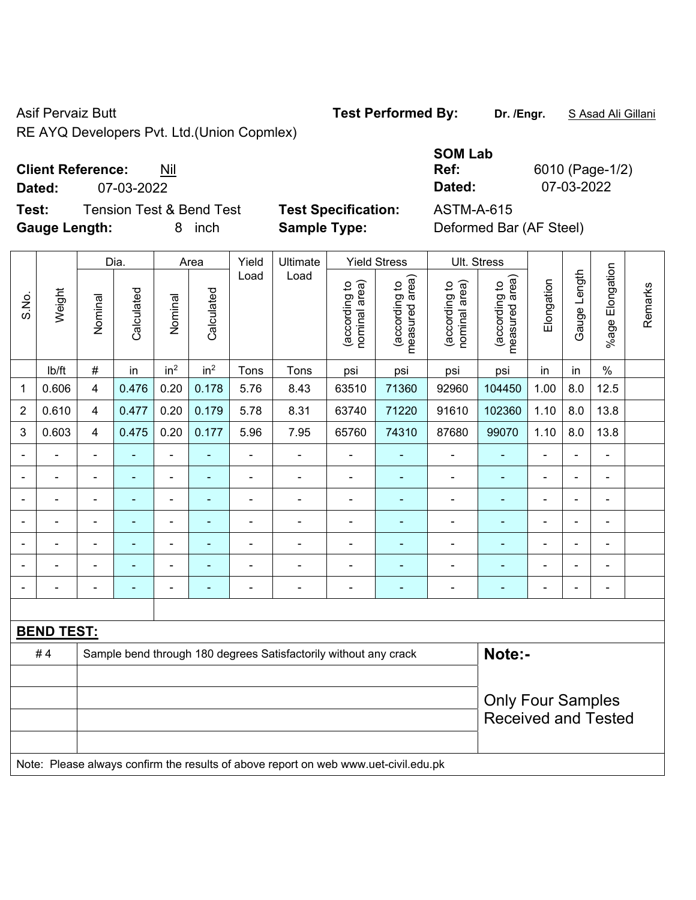RE AYQ Developers Pvt. Ltd.(Union Copmlex)

#### **Client Reference:** Nil

**Dated:** 07-03-2022 **Dated:** 07-03-2022

**Test:** Tension Test & Bend Test **Test Specification:** ASTM-A-615 **Gauge Length:** 8 inch **Sample Type:** Deformed Bar (AF Steel)

|                |                                                                                     |                         | Dia.           |                              | Area            | Yield | Ultimate                                                         |                                | <b>Yield Stress</b>             |                                | Ult. Stress                     |                          |                |                       |         |
|----------------|-------------------------------------------------------------------------------------|-------------------------|----------------|------------------------------|-----------------|-------|------------------------------------------------------------------|--------------------------------|---------------------------------|--------------------------------|---------------------------------|--------------------------|----------------|-----------------------|---------|
| S.No.          | Weight                                                                              | Nominal                 | Calculated     | Nominal                      | Calculated      | Load  | Load                                                             | nominal area)<br>(according to | (according to<br>measured area) | nominal area)<br>(according to | (according to<br>measured area) | Elongation               | Gauge Length   | Elongation<br>$%$ age | Remarks |
|                | lb/ft                                                                               | $\#$                    | in             | in <sup>2</sup>              | in <sup>2</sup> | Tons  | Tons                                                             | psi                            | psi                             | psi                            | psi                             | in                       | in             | $\%$                  |         |
| 1              | 0.606                                                                               | $\overline{\mathbf{4}}$ | 0.476          | 0.20                         | 0.178           | 5.76  | 8.43                                                             | 63510                          | 71360                           | 92960                          | 104450                          | 1.00                     | 8.0            | 12.5                  |         |
| $\overline{2}$ | 0.610                                                                               | $\overline{4}$          | 0.477          | 0.20                         | 0.179           | 5.78  | 8.31                                                             | 63740                          | 71220                           | 91610                          | 102360                          | 1.10                     | 8.0            | 13.8                  |         |
| 3              | 0.603                                                                               | $\overline{4}$          | 0.475          | 0.20                         | 0.177           | 5.96  | 7.95                                                             | 65760                          | 74310                           | 87680                          | 99070                           | 1.10                     | 8.0            | 13.8                  |         |
|                |                                                                                     | $\blacksquare$          |                |                              |                 |       | $\blacksquare$                                                   |                                |                                 |                                |                                 |                          |                | ÷                     |         |
| $\blacksquare$ |                                                                                     | $\blacksquare$          | ÷              | $\blacksquare$               | ä,              | ä,    | $\blacksquare$                                                   | $\blacksquare$                 | $\blacksquare$                  | ä,                             | ÷                               | ۰                        | $\blacksquare$ | $\frac{1}{2}$         |         |
| $\blacksquare$ |                                                                                     | $\blacksquare$          | ÷              | $\blacksquare$               | ٠               | ä,    | $\blacksquare$                                                   | L,                             | ۰                               | $\blacksquare$                 | $\blacksquare$                  | $\blacksquare$           |                | ä,                    |         |
| $\blacksquare$ |                                                                                     | $\blacksquare$          | ÷              | $\blacksquare$               | $\sim$          | L,    | $\blacksquare$                                                   | $\blacksquare$                 | $\blacksquare$                  | $\overline{\phantom{a}}$       | $\blacksquare$                  | $\overline{\phantom{a}}$ |                | $\blacksquare$        |         |
| $\blacksquare$ |                                                                                     | $\blacksquare$          | ä,             | $\qquad \qquad \blacksquare$ | $\blacksquare$  | L,    | $\blacksquare$                                                   | ä,                             | $\blacksquare$                  | $\blacksquare$                 | ä,                              | $\blacksquare$           |                | $\frac{1}{2}$         |         |
|                |                                                                                     |                         | $\blacksquare$ | $\blacksquare$               |                 |       | $\blacksquare$                                                   | L,                             |                                 | ä,                             |                                 |                          |                | Ē,                    |         |
|                |                                                                                     |                         |                |                              |                 |       |                                                                  | $\overline{a}$                 |                                 |                                |                                 |                          |                | ÷                     |         |
|                |                                                                                     |                         |                |                              |                 |       |                                                                  |                                |                                 |                                |                                 |                          |                |                       |         |
|                | <b>BEND TEST:</b>                                                                   |                         |                |                              |                 |       |                                                                  |                                |                                 |                                |                                 |                          |                |                       |         |
|                | #4                                                                                  |                         |                |                              |                 |       | Sample bend through 180 degrees Satisfactorily without any crack |                                |                                 |                                | Note:-                          |                          |                |                       |         |
|                |                                                                                     |                         |                |                              |                 |       |                                                                  |                                |                                 |                                |                                 |                          |                |                       |         |
|                |                                                                                     |                         |                |                              |                 |       |                                                                  |                                |                                 |                                | <b>Only Four Samples</b>        |                          |                |                       |         |
|                |                                                                                     |                         |                |                              |                 |       |                                                                  |                                |                                 |                                | <b>Received and Tested</b>      |                          |                |                       |         |
|                |                                                                                     |                         |                |                              |                 |       |                                                                  |                                |                                 |                                |                                 |                          |                |                       |         |
|                | Note: Please always confirm the results of above report on web www.uet-civil.edu.pk |                         |                |                              |                 |       |                                                                  |                                |                                 |                                |                                 |                          |                |                       |         |

**Ref:** 6010 (Page-1/2)

**SOM Lab** 

Asif Pervaiz Butt **Test Performed By:** Dr. /Engr. **SAsad Ali Gillani** Collection Asif Performed By: Dr. /Engr. **SAsad Ali Gillani**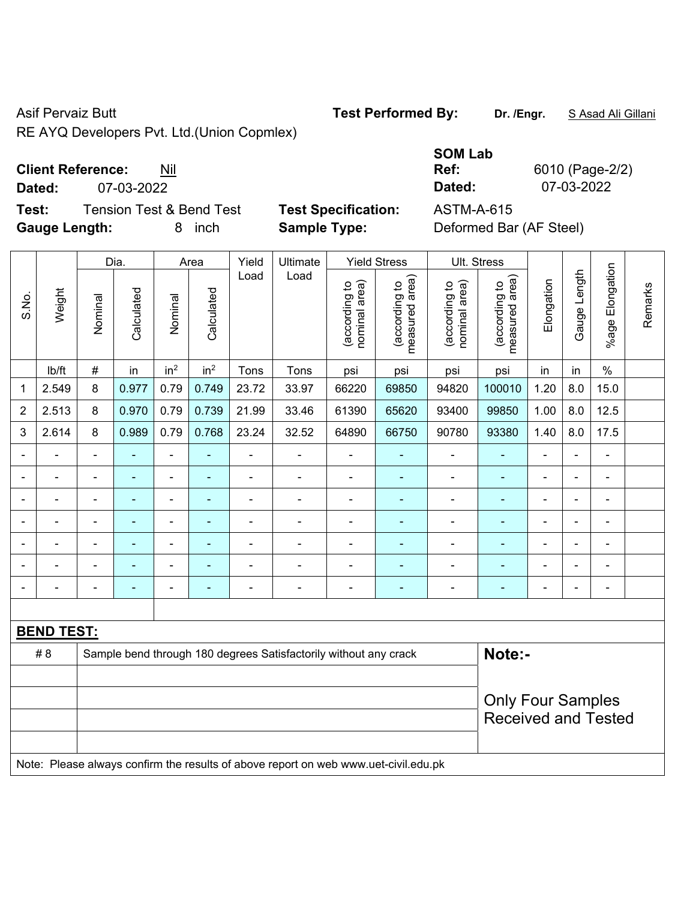RE AYQ Developers Pvt. Ltd.(Union Copmlex)

#### **Client Reference:** Nil

**Dated:** 07-03-2022 **Dated:** 07-03-2022

**Test:** Tension Test & Bend Test **Test Specification:** ASTM-A-615 **Gauge Length:** 8 inch **Sample Type:** Deformed Bar (AF Steel)

|                |                                                                                     |                          | Dia.           |                 | Area            | Yield          | Ultimate                                                         |                               | <b>Yield Stress</b>             |                                | Ult. Stress                     |                          |                |                         |         |
|----------------|-------------------------------------------------------------------------------------|--------------------------|----------------|-----------------|-----------------|----------------|------------------------------------------------------------------|-------------------------------|---------------------------------|--------------------------------|---------------------------------|--------------------------|----------------|-------------------------|---------|
| S.No.          | Weight                                                                              | Nominal                  | Calculated     | Nominal         | Calculated      | Load           | Load                                                             | nominal area)<br>according to | measured area)<br>(according to | (according to<br>nominal area) | (according to<br>measured area) | Elongation               | Gauge Length   | Elongation<br>$%$ age I | Remarks |
|                | lb/ft                                                                               | $\#$                     | in             | in <sup>2</sup> | in <sup>2</sup> | Tons           | Tons                                                             | psi                           | psi                             | psi                            | psi                             | in                       | in             | $\%$                    |         |
| 1              | 2.549                                                                               | 8                        | 0.977          | 0.79            | 0.749           | 23.72          | 33.97                                                            | 66220                         | 69850                           | 94820                          | 100010                          | 1.20                     | 8.0            | 15.0                    |         |
| $\overline{2}$ | 2.513                                                                               | 8                        | 0.970          | 0.79            | 0.739           | 21.99          | 33.46                                                            | 61390                         | 65620                           | 93400                          | 99850                           | 1.00                     | 8.0            | 12.5                    |         |
| 3              | 2.614                                                                               | 8                        | 0.989          | 0.79            | 0.768           | 23.24          | 32.52                                                            | 64890                         | 66750                           | 90780                          | 93380                           | 1.40                     | 8.0            | 17.5                    |         |
|                |                                                                                     | $\blacksquare$           | $\blacksquare$ | ÷,              |                 | ä,             | ÷                                                                | ä,                            | ä,                              | ÷                              |                                 | ä,                       | $\blacksquare$ | $\blacksquare$          |         |
|                | ۰                                                                                   | $\blacksquare$           | $\blacksquare$ | $\blacksquare$  | ٠               | $\blacksquare$ | $\frac{1}{2}$                                                    | $\blacksquare$                | $\blacksquare$                  | $\blacksquare$                 | $\blacksquare$                  | $\overline{\phantom{0}}$ | $\blacksquare$ | $\blacksquare$          |         |
|                | $\blacksquare$                                                                      | $\blacksquare$           | $\blacksquare$ | $\blacksquare$  | ۰               | ä,             | $\blacksquare$                                                   | ä,                            | ä,                              | ä,                             | $\blacksquare$                  | ä,                       | ä,             | $\blacksquare$          |         |
|                |                                                                                     | L,                       | ä,             | ÷               |                 | $\blacksquare$ | ÷                                                                | ä,                            | ä,                              | ä,                             | $\blacksquare$                  | ä,                       | ä,             | ä,                      |         |
|                |                                                                                     |                          | $\blacksquare$ | ۰               |                 |                | $\blacksquare$                                                   | ٠                             |                                 |                                |                                 | $\overline{a}$           | $\blacksquare$ |                         |         |
|                |                                                                                     |                          |                | $\blacksquare$  |                 |                |                                                                  |                               | ۰                               |                                |                                 | ۳                        | $\blacksquare$ |                         |         |
| $\blacksquare$ |                                                                                     | ä,                       | ٠              | ÷               | ۰               | Ē,             | ÷                                                                | $\blacksquare$                | ٠                               | $\blacksquare$                 | $\blacksquare$                  | $\blacksquare$           | $\blacksquare$ | $\blacksquare$          |         |
|                |                                                                                     |                          |                |                 |                 |                |                                                                  |                               |                                 |                                |                                 |                          |                |                         |         |
|                | <b>BEND TEST:</b>                                                                   |                          |                |                 |                 |                |                                                                  |                               |                                 |                                |                                 |                          |                |                         |         |
|                | # 8                                                                                 |                          |                |                 |                 |                | Sample bend through 180 degrees Satisfactorily without any crack |                               |                                 |                                | Note:-                          |                          |                |                         |         |
|                |                                                                                     |                          |                |                 |                 |                |                                                                  |                               |                                 |                                |                                 |                          |                |                         |         |
|                |                                                                                     | <b>Only Four Samples</b> |                |                 |                 |                |                                                                  |                               |                                 |                                |                                 |                          |                |                         |         |
|                |                                                                                     |                          |                |                 |                 |                |                                                                  |                               |                                 |                                | <b>Received and Tested</b>      |                          |                |                         |         |
|                |                                                                                     |                          |                |                 |                 |                |                                                                  |                               |                                 |                                |                                 |                          |                |                         |         |
|                | Note: Please always confirm the results of above report on web www.uet-civil.edu.pk |                          |                |                 |                 |                |                                                                  |                               |                                 |                                |                                 |                          |                |                         |         |

# **SOM Lab**

**Ref:** 6010 (Page-2/2)

Asif Pervaiz Butt **Test Performed By:** Dr. /Engr. **SAsad Ali Gillani** Collection Asif Performed By: Dr. /Engr. **SAsad Ali Gillani**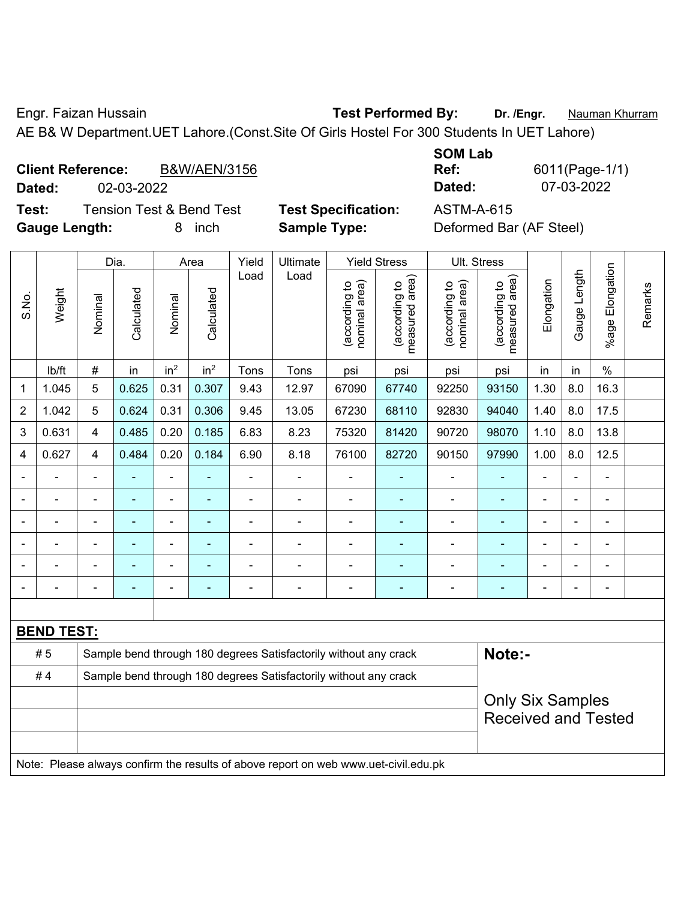Engr. Faizan Hussain **Test Performed By: Dr. /Engr.** Nauman Khurram

AE B& W Department.UET Lahore.(Const.Site Of Girls Hostel For 300 Students In UET Lahore)

|        | <b>Client Reference:</b><br><b>B&amp;W/AEN/3156</b> |  |  |  |  | Ref:   | 6011(Page-1/ |
|--------|-----------------------------------------------------|--|--|--|--|--------|--------------|
| Dated: | 02-03-2022                                          |  |  |  |  | Dated: | 07-03-2022   |
| _      |                                                     |  |  |  |  | .      |              |

**Test:** Tension Test & Bend Test **Test Specification:** ASTM-A-615 **Gauge Length:** 8 inch **Sample Type:** Deformed Bar (AF Steel)

| <b>SOM Lab</b> |                |
|----------------|----------------|
| Ref:           | 6011(Page-1/1) |
| Dated:         | 07-03-2022     |

|                |                   |                | Dia.                                                  |                 | Area            | Yield                    | Ultimate                                                                            |                                | <b>Yield Stress</b>             |                                | Ult. Stress                        |                |                |                       |         |
|----------------|-------------------|----------------|-------------------------------------------------------|-----------------|-----------------|--------------------------|-------------------------------------------------------------------------------------|--------------------------------|---------------------------------|--------------------------------|------------------------------------|----------------|----------------|-----------------------|---------|
| S.No.          | Weight            | Nominal        | Calculated                                            | Nominal         | Calculated      | Load                     | Load                                                                                | nominal area)<br>(according to | measured area)<br>(according to | (according to<br>nominal area) | area)<br>(according to<br>measured | Elongation     | Gauge Length   | Elongation<br>$%$ age | Remarks |
|                | lb/ft             | $\#$           | in                                                    | in <sup>2</sup> | in <sup>2</sup> | Tons                     | Tons                                                                                | psi                            | psi                             | psi                            | psi                                | in             | in             | $\%$                  |         |
| 1              | 1.045             | 5              | 0.625                                                 | 0.31            | 0.307           | 9.43                     | 12.97                                                                               | 67090                          | 67740                           | 92250                          | 93150                              | 1.30           | 8.0            | 16.3                  |         |
| $\overline{2}$ | 1.042             | 5              | 0.624                                                 | 0.31            | 0.306           | 9.45                     | 13.05                                                                               | 67230                          | 68110                           | 92830                          | 94040                              | 1.40           | 8.0            | 17.5                  |         |
| 3              | 0.631             | 4              | 0.485                                                 | 0.20            | 0.185           | 6.83                     | 8.23                                                                                | 75320                          | 81420                           | 90720                          | 98070                              | 1.10           | 8.0            | 13.8                  |         |
| 4              | 0.627             | 4              | 0.484                                                 | 0.20            | 0.184           | 6.90                     | 8.18                                                                                | 76100                          | 82720                           | 90150                          | 97990                              | 1.00           | 8.0            | 12.5                  |         |
|                |                   |                |                                                       |                 |                 |                          |                                                                                     |                                |                                 |                                |                                    |                |                |                       |         |
| $\blacksquare$ |                   | $\blacksquare$ | ÷                                                     | ÷               | $\blacksquare$  |                          | $\blacksquare$                                                                      | $\blacksquare$                 | $\blacksquare$                  | ÷                              |                                    | $\blacksquare$ | $\blacksquare$ | $\blacksquare$        |         |
| $\blacksquare$ |                   | $\blacksquare$ | ÷,                                                    | $\blacksquare$  | ٠               | $\overline{\phantom{0}}$ | $\blacksquare$                                                                      | $\blacksquare$                 | ٠                               | $\blacksquare$                 | $\blacksquare$                     | $\blacksquare$ |                | $\blacksquare$        |         |
| $\blacksquare$ | $\blacksquare$    | $\blacksquare$ | ÷                                                     | $\blacksquare$  | ÷,              |                          |                                                                                     | $\blacksquare$                 | ۰                               | $\blacksquare$                 | $\blacksquare$                     | $\blacksquare$ |                | $\blacksquare$        |         |
|                |                   |                |                                                       |                 |                 |                          |                                                                                     | L.                             |                                 | ÷                              | $\blacksquare$                     |                |                |                       |         |
|                |                   |                |                                                       |                 |                 |                          |                                                                                     |                                |                                 |                                |                                    |                |                | $\blacksquare$        |         |
|                |                   |                |                                                       |                 |                 |                          |                                                                                     |                                |                                 |                                |                                    |                |                |                       |         |
|                | <b>BEND TEST:</b> |                |                                                       |                 |                 |                          |                                                                                     |                                |                                 |                                |                                    |                |                |                       |         |
|                | # 5               |                |                                                       |                 |                 |                          | Sample bend through 180 degrees Satisfactorily without any crack                    |                                |                                 |                                | Note:-                             |                |                |                       |         |
|                | #4                |                |                                                       |                 |                 |                          | Sample bend through 180 degrees Satisfactorily without any crack                    |                                |                                 |                                |                                    |                |                |                       |         |
|                |                   |                | <b>Only Six Samples</b><br><b>Received and Tested</b> |                 |                 |                          |                                                                                     |                                |                                 |                                |                                    |                |                |                       |         |
|                |                   |                |                                                       |                 |                 |                          | Note: Please always confirm the results of above report on web www.uet-civil.edu.pk |                                |                                 |                                |                                    |                |                |                       |         |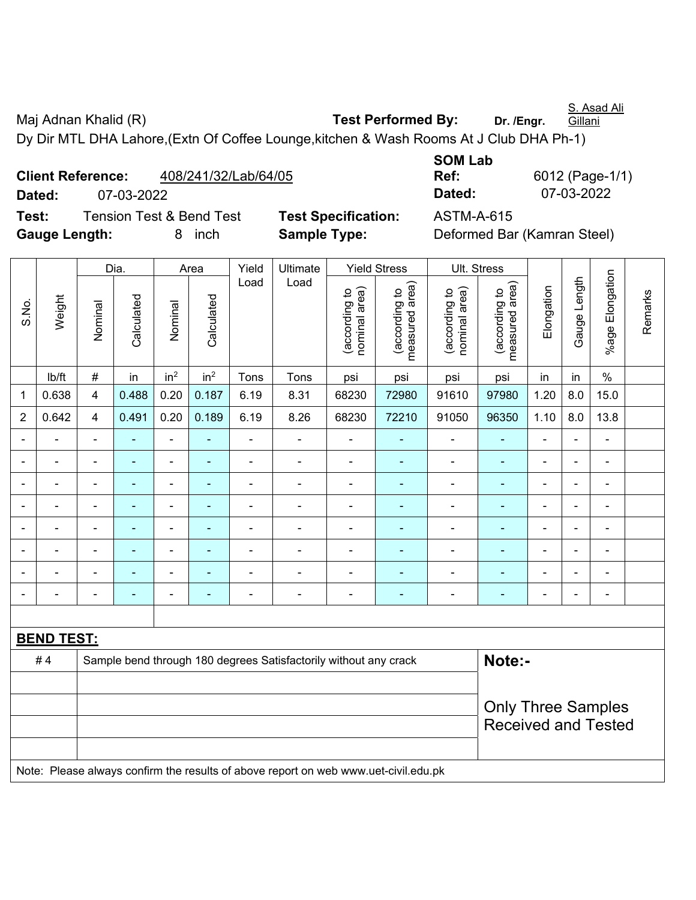Maj Adnan Khalid (R) **Test Performed By:** Dr. /Engr. **Gillani** Dy Dir MTL DHA Lahore,(Extn Of Coffee Lounge,kitchen & Wash Rooms At J Club DHA Ph-1)

**Client Reference:** 408/241/32/Lab/64/05 **Dated:** 07-03-2022 **Dated:** 07-03-2022 **Test:** Tension Test & Bend Test **Test Specification:** ASTM-A-615 **Gauge Length:** 8 inch **Sample Type:** Deformed Bar (Kamran Steel)

**SOM Lab Ref:** 6012 (Page-1/1)

Dia. | Area | Yield | Ultimate | Yield Stress | Ult. Stress %age Elongation %age Elongation Gauge Length Load Load Gauge Length (according to<br>measured area) measured area) measured area) (according to<br>nominal area) (according to<br>nominal area) nominal area) nominal area) (according to<br>measured area) Elongation Elongation (according to (according to (according to (according to Remarks Remarks Weight **Calculated Calculated** Calculated Calculated S.No. Nominal Nominal Nominal Nominal | lb/ft | # | in | in<sup>2</sup> | in<sup>2</sup> | Tons | Tons | psi | psi | psi | psi | in | in | % 1 | 0.638 | 4 | 0.488 | 0.20 | 0.187 | 6.19 | 8.31 | 68230 | 72980 | 91610 | 97980 | 1.20 | 8.0 | 15.0 2 | 0.642 | 4 | 0.491 | 0.20 | 0.189 | 6.19 | 8.26 | 68230 | 72210 | 91050 | 96350 | 1.10 | 8.0 | 13.8 - - - - - - - - - - - - - - - - - - - - - - - - - - - - - - - - - - - - - - - - - - - - - - - - - - - - - - - - - - - - - - - - - - - - - - - - - - - - - - - - - - - - - - - - - - - - - - - - - - - - - - - - - - - - - - - - - - - - - - - - **BEND TEST:**  # 4 Sample bend through 180 degrees Satisfactorily without any crack **Note:-**Only Three Samples Received and Tested Note: Please always confirm the results of above report on web www.uet-civil.edu.pk

S. Asad Ali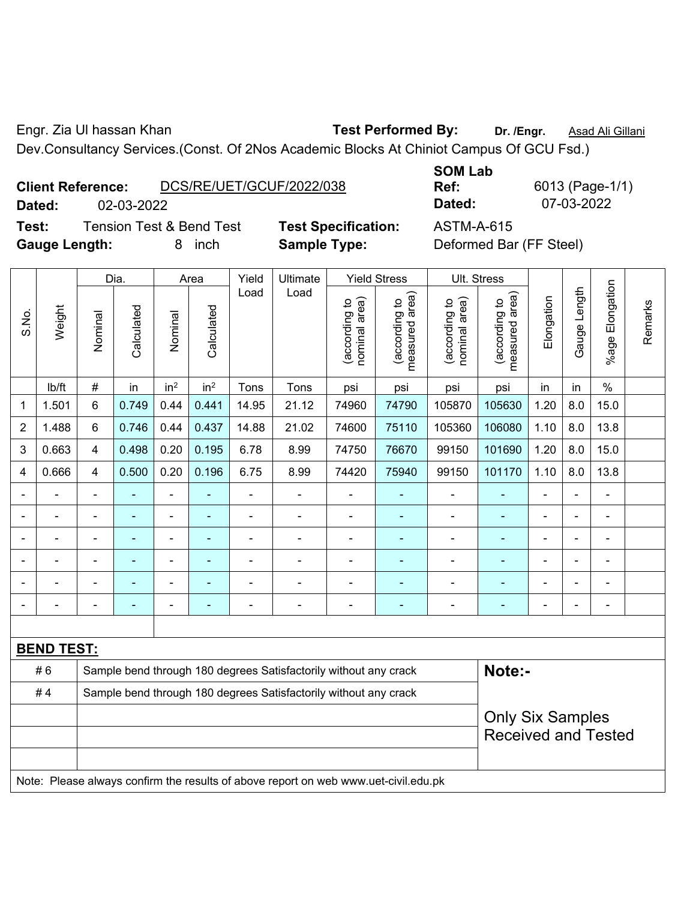Engr. Zia Ul hassan Khan **Test Performed By: Dr. /Engr.** Asad Ali Gillani

Dev.Consultancy Services.(Const. Of 2Nos Academic Blocks At Chiniot Campus Of GCU Fsd.)

|             | <b>Client Reference:</b> | DCS/RE/UET/GCUF/2022/038 |              |
|-------------|--------------------------|--------------------------|--------------|
| Dated:      | 02-03-2022               |                          |              |
| <b>T.L.</b> |                          | Tensien Test 0 Dend Test | TAAL CAAALIK |

**Test:** Tension Test & Bend Test **Test Specification:** ASTM-A-615 **Gauge Length:** 8 inch **Sample Type:** Deformed Bar (FF Steel)

**SOM Lab** 

**Ref:** 6013 (Page-1/1) **Dated:** 02-03-2022 **Dated:** 07-03-2022

|                |                                                                                     |                                                                  | Dia.           |                 | Area            | Yield | Ultimate                                                         |                                | <b>Yield Stress</b>                         |                                | Ult. Stress                     |                |                |                 |         |
|----------------|-------------------------------------------------------------------------------------|------------------------------------------------------------------|----------------|-----------------|-----------------|-------|------------------------------------------------------------------|--------------------------------|---------------------------------------------|--------------------------------|---------------------------------|----------------|----------------|-----------------|---------|
| S.No.          | Weight                                                                              | Nominal                                                          | Calculated     | Nominal         | Calculated      | Load  | Load                                                             | nominal area)<br>(according to | (according to<br>neasured area)<br>measured | nominal area)<br>(according to | measured area)<br>(according to | Elongation     | Gauge Length   | %age Elongation | Remarks |
|                | lb/ft                                                                               | $\#$                                                             | in             | in <sup>2</sup> | in <sup>2</sup> | Tons  | Tons                                                             | psi                            | psi                                         | psi                            | psi                             | in             | in             | $\%$            |         |
| 1              | 1.501                                                                               | 6                                                                | 0.749          | 0.44            | 0.441           | 14.95 | 21.12                                                            | 74960                          | 74790                                       | 105870                         | 105630                          | 1.20           | 8.0            | 15.0            |         |
| $\overline{2}$ | 1.488                                                                               | 6                                                                | 0.746          | 0.44            | 0.437           | 14.88 | 21.02                                                            | 74600                          | 75110                                       | 105360                         | 106080                          | 1.10           | 8.0            | 13.8            |         |
| 3              | 0.663                                                                               | 4                                                                | 0.498          | 0.20            | 0.195           | 6.78  | 8.99                                                             | 74750                          | 76670                                       | 99150                          | 101690                          | 1.20           | 8.0            | 15.0            |         |
| 4              | 0.666                                                                               | 4                                                                | 0.500          | 0.20            | 0.196           | 6.75  | 8.99                                                             | 74420                          | 75940                                       | 99150                          | 101170                          | 1.10           | 8.0            | 13.8            |         |
|                |                                                                                     |                                                                  |                |                 |                 |       | ÷                                                                |                                |                                             | L,                             |                                 |                |                |                 |         |
|                |                                                                                     |                                                                  | $\blacksquare$ | $\blacksquare$  |                 | ä,    | $\overline{a}$                                                   | $\blacksquare$                 | ٠                                           | $\blacksquare$                 | ٠                               | $\blacksquare$ | $\blacksquare$ | ۰               |         |
| $\blacksquare$ |                                                                                     | $\blacksquare$                                                   | ÷              | ä,              | $\blacksquare$  | ÷     | ÷.                                                               | $\blacksquare$                 | $\blacksquare$                              | ä,                             | $\blacksquare$                  | $\blacksquare$ | $\blacksquare$ | $\blacksquare$  |         |
|                |                                                                                     | Ē,                                                               | ÷              | $\blacksquare$  |                 | L,    | $\blacksquare$                                                   |                                | ٠                                           | $\blacksquare$                 | ä,                              | $\blacksquare$ | $\blacksquare$ | $\blacksquare$  |         |
|                |                                                                                     | $\blacksquare$                                                   | ä,             | $\blacksquare$  | $\blacksquare$  | ÷     | ÷.                                                               | ä,                             | ٠                                           | ä,                             | ä,                              | $\blacksquare$ |                | ä,              |         |
|                |                                                                                     |                                                                  |                |                 |                 |       |                                                                  |                                |                                             |                                | ۰                               |                |                | $\blacksquare$  |         |
|                |                                                                                     |                                                                  |                |                 |                 |       |                                                                  |                                |                                             |                                |                                 |                |                |                 |         |
|                | <b>BEND TEST:</b>                                                                   |                                                                  |                |                 |                 |       |                                                                  |                                |                                             |                                |                                 |                |                |                 |         |
|                | #6                                                                                  |                                                                  |                |                 |                 |       | Sample bend through 180 degrees Satisfactorily without any crack |                                |                                             |                                | Note:-                          |                |                |                 |         |
|                | #4                                                                                  | Sample bend through 180 degrees Satisfactorily without any crack |                |                 |                 |       |                                                                  |                                |                                             |                                |                                 |                |                |                 |         |
|                |                                                                                     |                                                                  |                |                 |                 |       |                                                                  |                                |                                             |                                | <b>Only Six Samples</b>         |                |                |                 |         |
|                |                                                                                     |                                                                  |                |                 |                 |       |                                                                  |                                |                                             |                                | <b>Received and Tested</b>      |                |                |                 |         |
|                |                                                                                     |                                                                  |                |                 |                 |       |                                                                  |                                |                                             |                                |                                 |                |                |                 |         |
|                | Note: Please always confirm the results of above report on web www.uet-civil.edu.pk |                                                                  |                |                 |                 |       |                                                                  |                                |                                             |                                |                                 |                |                |                 |         |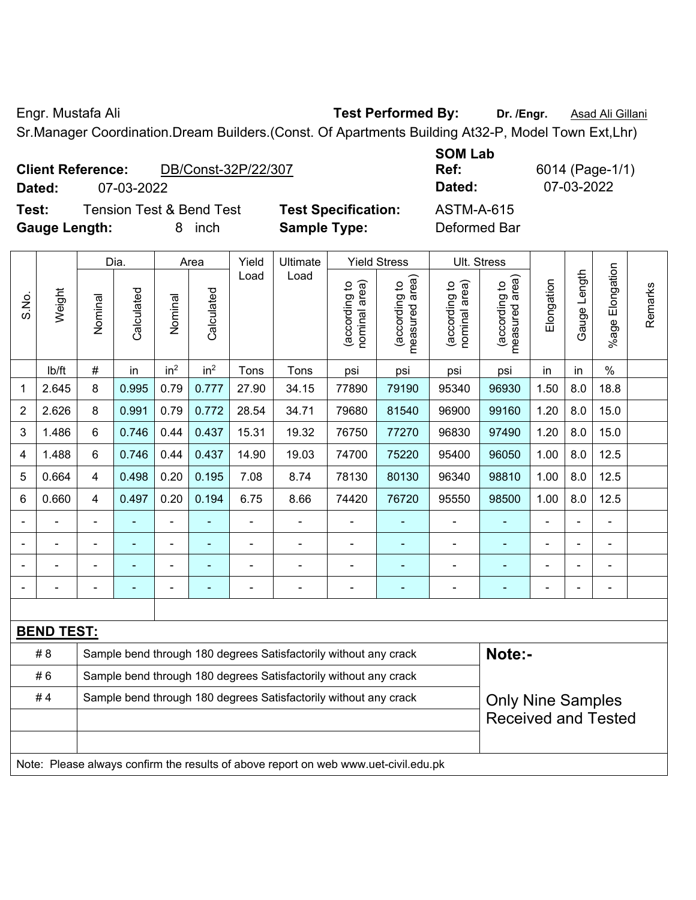Engr. Mustafa Ali **Test Performed By: Dr. /Engr.** Asad Ali Gillani

Sr.Manager Coordination.Dream Builders.(Const. Of Apartments Building At32-P, Model Town Ext,Lhr)

| <b>Client Reference:</b> |            | DB/Const-32P/22/307 |
|--------------------------|------------|---------------------|
| Dated:                   | 07-03-2022 |                     |

**Test:** Tension Test & Bend Test **Test Specification:** ASTM-A-615 **Gauge Length:** 8 inch **Sample Type:** Deformed Bar

**SOM Lab Ref:** 6014 (Page-1/1) **Dated:** 07-03-2022 **Dated:** 07-03-2022

| S.No.             | Weight | Dia.                                                             |            | Area            |                 | Yield | Ultimate       | <b>Yield Stress</b>            |                                    | Ult. Stress                   |                                    |            |                |                    |         |
|-------------------|--------|------------------------------------------------------------------|------------|-----------------|-----------------|-------|----------------|--------------------------------|------------------------------------|-------------------------------|------------------------------------|------------|----------------|--------------------|---------|
|                   |        | Nominal                                                          | Calculated | Nominal         | Calculated      | Load  | Load           | nominal area)<br>(according to | area)<br>(according to<br>measured | nominal area)<br>according to | area)<br>(according to<br>measured | Elongation | Gauge Length   | Elongation<br>%age | Remarks |
|                   | lb/ft  | #                                                                | in         | in <sup>2</sup> | in <sup>2</sup> | Tons  | Tons           | psi                            | psi                                | psi                           | psi                                | in         | in             | $\%$               |         |
| $\mathbf{1}$      | 2.645  | 8                                                                | 0.995      | 0.79            | 0.777           | 27.90 | 34.15          | 77890                          | 79190                              | 95340                         | 96930                              | 1.50       | 8.0            | 18.8               |         |
| 2                 | 2.626  | 8                                                                | 0.991      | 0.79            | 0.772           | 28.54 | 34.71          | 79680                          | 81540                              | 96900                         | 99160                              | 1.20       | 8.0            | 15.0               |         |
| $\mathfrak{B}$    | 1.486  | 6                                                                | 0.746      | 0.44            | 0.437           | 15.31 | 19.32          | 76750                          | 77270                              | 96830                         | 97490                              | 1.20       | 8.0            | 15.0               |         |
| $\overline{4}$    | 1.488  | 6                                                                | 0.746      | 0.44            | 0.437           | 14.90 | 19.03          | 74700                          | 75220                              | 95400                         | 96050                              | 1.00       | 8.0            | 12.5               |         |
| 5                 | 0.664  | 4                                                                | 0.498      | 0.20            | 0.195           | 7.08  | 8.74           | 78130                          | 80130                              | 96340                         | 98810                              | 1.00       | 8.0            | 12.5               |         |
| 6                 | 0.660  | 4                                                                | 0.497      | 0.20            | 0.194           | 6.75  | 8.66           | 74420                          | 76720                              | 95550                         | 98500                              | 1.00       | 8.0            | 12.5               |         |
|                   |        |                                                                  |            |                 |                 |       |                |                                |                                    |                               |                                    |            |                |                    |         |
|                   |        | $\blacksquare$                                                   | ÷,         | $\blacksquare$  |                 | ÷     | $\blacksquare$ | $\blacksquare$                 | $\blacksquare$                     | $\blacksquare$                |                                    | Ē,         | $\blacksquare$ | ۰                  |         |
|                   |        | Ē,                                                               |            | ÷               | ÷               | ÷     | $\blacksquare$ | $\blacksquare$                 |                                    | $\blacksquare$                |                                    | Ē,         | $\blacksquare$ | $\blacksquare$     |         |
|                   |        |                                                                  |            |                 | $\blacksquare$  |       |                |                                |                                    |                               |                                    |            |                |                    |         |
|                   |        |                                                                  |            |                 |                 |       |                |                                |                                    |                               |                                    |            |                |                    |         |
| <b>BEND TEST:</b> |        |                                                                  |            |                 |                 |       |                |                                |                                    |                               |                                    |            |                |                    |         |
|                   | # 8    | Sample bend through 180 degrees Satisfactorily without any crack |            |                 |                 |       |                |                                |                                    |                               | Note:-                             |            |                |                    |         |
| #6                |        | Sample bend through 180 degrees Satisfactorily without any crack |            |                 |                 |       |                |                                |                                    |                               |                                    |            |                |                    |         |
| #4                |        | Sample bend through 180 degrees Satisfactorily without any crack |            |                 |                 |       |                |                                |                                    | <b>Only Nine Samples</b>      |                                    |            |                |                    |         |
|                   |        |                                                                  |            |                 |                 |       |                |                                |                                    |                               | <b>Received and Tested</b>         |            |                |                    |         |
|                   |        |                                                                  |            |                 |                 |       |                |                                |                                    |                               |                                    |            |                |                    |         |

Note: Please always confirm the results of above report on web www.uet-civil.edu.pk